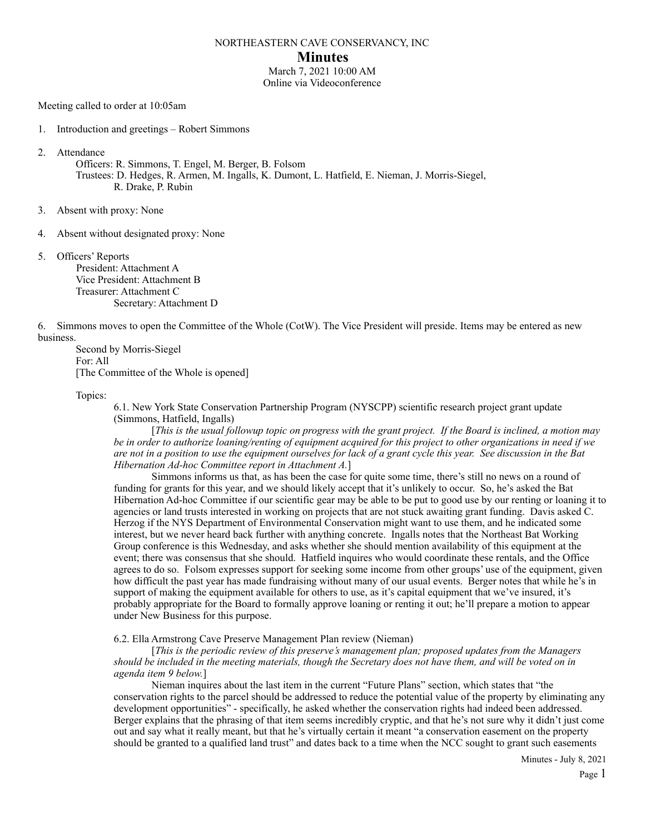#### NORTHEASTERN CAVE CONSERVANCY, INC

#### **Minutes**

March 7, 2021 10:00 AM Online via Videoconference

Meeting called to order at 10:05am

1. Introduction and greetings – Robert Simmons

2. Attendance

Officers: R. Simmons, T. Engel, M. Berger, B. Folsom

 Trustees: D. Hedges, R. Armen, M. Ingalls, K. Dumont, L. Hatfield, E. Nieman, J. Morris-Siegel, R. Drake, P. Rubin

- 3. Absent with proxy: None
- 4. Absent without designated proxy: None
- 5. Officers' Reports

 President: Attachment A Vice President: Attachment B Treasurer: Attachment C Secretary: Attachment D

6. Simmons moves to open the Committee of the Whole (CotW). The Vice President will preside. Items may be entered as new business.

 Second by Morris-Siegel For: All [The Committee of the Whole is opened]

Topics:

6.1. New York State Conservation Partnership Program (NYSCPP) scientific research project grant update (Simmons, Hatfield, Ingalls)

 [*This is the usual followup topic on progress with the grant project. If the Board is inclined, a motion may be in order to authorize loaning/renting of equipment acquired for this project to other organizations in need if we are not in a position to use the equipment ourselves for lack of a grant cycle this year. See discussion in the Bat Hibernation Ad-hoc Committee report in Attachment A.*]

 Simmons informs us that, as has been the case for quite some time, there's still no news on a round of funding for grants for this year, and we should likely accept that it's unlikely to occur. So, he's asked the Bat Hibernation Ad-hoc Committee if our scientific gear may be able to be put to good use by our renting or loaning it to agencies or land trusts interested in working on projects that are not stuck awaiting grant funding. Davis asked C. Herzog if the NYS Department of Environmental Conservation might want to use them, and he indicated some interest, but we never heard back further with anything concrete. Ingalls notes that the Northeast Bat Working Group conference is this Wednesday, and asks whether she should mention availability of this equipment at the event; there was consensus that she should. Hatfield inquires who would coordinate these rentals, and the Office agrees to do so. Folsom expresses support for seeking some income from other groups' use of the equipment, given how difficult the past year has made fundraising without many of our usual events. Berger notes that while he's in support of making the equipment available for others to use, as it's capital equipment that we've insured, it's probably appropriate for the Board to formally approve loaning or renting it out; he'll prepare a motion to appear under New Business for this purpose.

6.2. Ella Armstrong Cave Preserve Management Plan review (Nieman)

 [*This is the periodic review of this preserve's management plan; proposed updates from the Managers should be included in the meeting materials, though the Secretary does not have them, and will be voted on in agenda item 9 below.*]

 Nieman inquires about the last item in the current "Future Plans" section, which states that "the conservation rights to the parcel should be addressed to reduce the potential value of the property by eliminating any development opportunities" - specifically, he asked whether the conservation rights had indeed been addressed. Berger explains that the phrasing of that item seems incredibly cryptic, and that he's not sure why it didn't just come out and say what it really meant, but that he's virtually certain it meant "a conservation easement on the property should be granted to a qualified land trust" and dates back to a time when the NCC sought to grant such easements

Minutes - July 8, 2021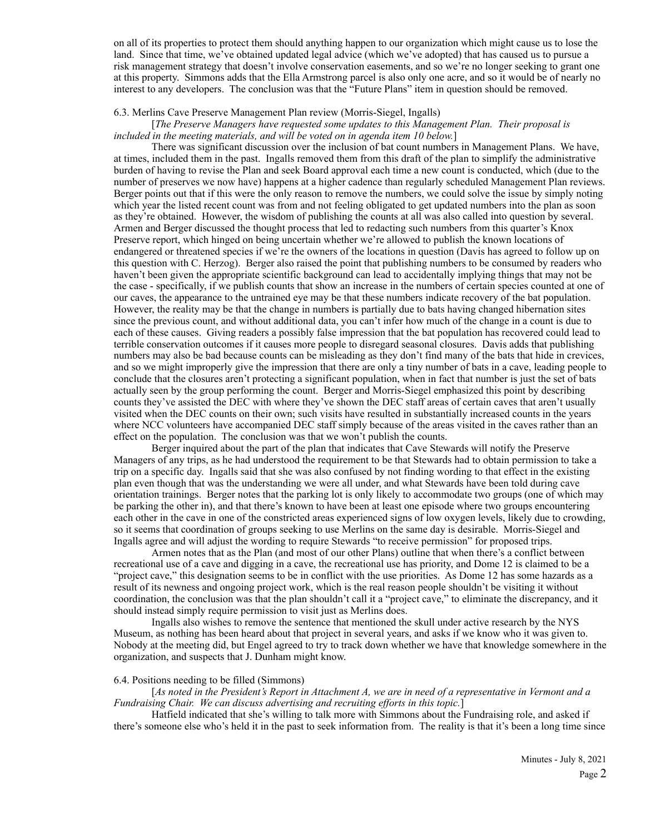on all of its properties to protect them should anything happen to our organization which might cause us to lose the land. Since that time, we've obtained updated legal advice (which we've adopted) that has caused us to pursue a risk management strategy that doesn't involve conservation easements, and so we're no longer seeking to grant one at this property. Simmons adds that the Ella Armstrong parcel is also only one acre, and so it would be of nearly no interest to any developers. The conclusion was that the "Future Plans" item in question should be removed.

#### 6.3. Merlins Cave Preserve Management Plan review (Morris-Siegel, Ingalls)

### [*The Preserve Managers have requested some updates to this Management Plan. Their proposal is included in the meeting materials, and will be voted on in agenda item 10 below.*]

 There was significant discussion over the inclusion of bat count numbers in Management Plans. We have, at times, included them in the past. Ingalls removed them from this draft of the plan to simplify the administrative burden of having to revise the Plan and seek Board approval each time a new count is conducted, which (due to the number of preserves we now have) happens at a higher cadence than regularly scheduled Management Plan reviews. Berger points out that if this were the only reason to remove the numbers, we could solve the issue by simply noting which year the listed recent count was from and not feeling obligated to get updated numbers into the plan as soon as they're obtained. However, the wisdom of publishing the counts at all was also called into question by several. Armen and Berger discussed the thought process that led to redacting such numbers from this quarter's Knox Preserve report, which hinged on being uncertain whether we're allowed to publish the known locations of endangered or threatened species if we're the owners of the locations in question (Davis has agreed to follow up on this question with C. Herzog). Berger also raised the point that publishing numbers to be consumed by readers who haven't been given the appropriate scientific background can lead to accidentally implying things that may not be the case - specifically, if we publish counts that show an increase in the numbers of certain species counted at one of our caves, the appearance to the untrained eye may be that these numbers indicate recovery of the bat population. However, the reality may be that the change in numbers is partially due to bats having changed hibernation sites since the previous count, and without additional data, you can't infer how much of the change in a count is due to each of these causes. Giving readers a possibly false impression that the bat population has recovered could lead to terrible conservation outcomes if it causes more people to disregard seasonal closures. Davis adds that publishing numbers may also be bad because counts can be misleading as they don't find many of the bats that hide in crevices, and so we might improperly give the impression that there are only a tiny number of bats in a cave, leading people to conclude that the closures aren't protecting a significant population, when in fact that number is just the set of bats actually seen by the group performing the count. Berger and Morris-Siegel emphasized this point by describing counts they've assisted the DEC with where they've shown the DEC staff areas of certain caves that aren't usually visited when the DEC counts on their own; such visits have resulted in substantially increased counts in the years where NCC volunteers have accompanied DEC staff simply because of the areas visited in the caves rather than an effect on the population. The conclusion was that we won't publish the counts.

 Berger inquired about the part of the plan that indicates that Cave Stewards will notify the Preserve Managers of any trips, as he had understood the requirement to be that Stewards had to obtain permission to take a trip on a specific day. Ingalls said that she was also confused by not finding wording to that effect in the existing plan even though that was the understanding we were all under, and what Stewards have been told during cave orientation trainings. Berger notes that the parking lot is only likely to accommodate two groups (one of which may be parking the other in), and that there's known to have been at least one episode where two groups encountering each other in the cave in one of the constricted areas experienced signs of low oxygen levels, likely due to crowding, so it seems that coordination of groups seeking to use Merlins on the same day is desirable. Morris-Siegel and Ingalls agree and will adjust the wording to require Stewards "to receive permission" for proposed trips.

 Armen notes that as the Plan (and most of our other Plans) outline that when there's a conflict between recreational use of a cave and digging in a cave, the recreational use has priority, and Dome 12 is claimed to be a "project cave," this designation seems to be in conflict with the use priorities. As Dome 12 has some hazards as a result of its newness and ongoing project work, which is the real reason people shouldn't be visiting it without coordination, the conclusion was that the plan shouldn't call it a "project cave," to eliminate the discrepancy, and it should instead simply require permission to visit just as Merlins does.

 Ingalls also wishes to remove the sentence that mentioned the skull under active research by the NYS Museum, as nothing has been heard about that project in several years, and asks if we know who it was given to. Nobody at the meeting did, but Engel agreed to try to track down whether we have that knowledge somewhere in the organization, and suspects that J. Dunham might know.

#### 6.4. Positions needing to be filled (Simmons)

 [*As noted in the President's Report in Attachment A, we are in need of a representative in Vermont and a Fundraising Chair. We can discuss advertising and recruiting efforts in this topic.*]

 Hatfield indicated that she's willing to talk more with Simmons about the Fundraising role, and asked if there's someone else who's held it in the past to seek information from. The reality is that it's been a long time since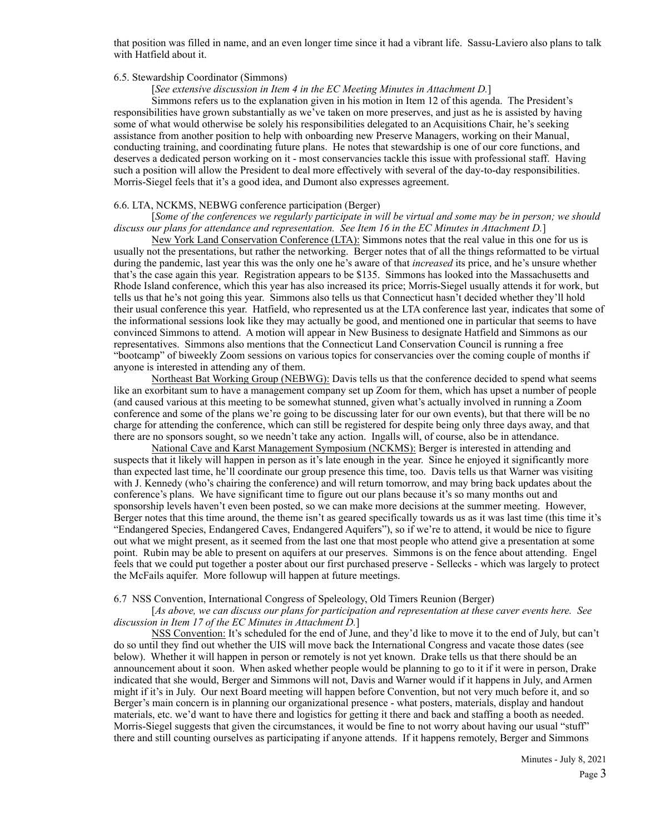that position was filled in name, and an even longer time since it had a vibrant life. Sassu-Laviero also plans to talk with Hatfield about it.

#### 6.5. Stewardship Coordinator (Simmons)

#### [*See extensive discussion in Item 4 in the EC Meeting Minutes in Attachment D.*]

 Simmons refers us to the explanation given in his motion in Item 12 of this agenda. The President's responsibilities have grown substantially as we've taken on more preserves, and just as he is assisted by having some of what would otherwise be solely his responsibilities delegated to an Acquisitions Chair, he's seeking assistance from another position to help with onboarding new Preserve Managers, working on their Manual, conducting training, and coordinating future plans. He notes that stewardship is one of our core functions, and deserves a dedicated person working on it - most conservancies tackle this issue with professional staff. Having such a position will allow the President to deal more effectively with several of the day-to-day responsibilities. Morris-Siegel feels that it's a good idea, and Dumont also expresses agreement.

#### 6.6. LTA, NCKMS, NEBWG conference participation (Berger)

#### [*Some of the conferences we regularly participate in will be virtual and some may be in person; we should discuss our plans for attendance and representation. See Item 16 in the EC Minutes in Attachment D.*]

New York Land Conservation Conference (LTA): Simmons notes that the real value in this one for us is usually not the presentations, but rather the networking. Berger notes that of all the things reformatted to be virtual during the pandemic, last year this was the only one he's aware of that *increased* its price, and he's unsure whether that's the case again this year. Registration appears to be \$135. Simmons has looked into the Massachusetts and Rhode Island conference, which this year has also increased its price; Morris-Siegel usually attends it for work, but tells us that he's not going this year. Simmons also tells us that Connecticut hasn't decided whether they'll hold their usual conference this year. Hatfield, who represented us at the LTA conference last year, indicates that some of the informational sessions look like they may actually be good, and mentioned one in particular that seems to have convinced Simmons to attend. A motion will appear in New Business to designate Hatfield and Simmons as our representatives. Simmons also mentions that the Connecticut Land Conservation Council is running a free "bootcamp" of biweekly Zoom sessions on various topics for conservancies over the coming couple of months if anyone is interested in attending any of them.

Northeast Bat Working Group (NEBWG): Davis tells us that the conference decided to spend what seems like an exorbitant sum to have a management company set up Zoom for them, which has upset a number of people (and caused various at this meeting to be somewhat stunned, given what's actually involved in running a Zoom conference and some of the plans we're going to be discussing later for our own events), but that there will be no charge for attending the conference, which can still be registered for despite being only three days away, and that there are no sponsors sought, so we needn't take any action. Ingalls will, of course, also be in attendance.

National Cave and Karst Management Symposium (NCKMS): Berger is interested in attending and suspects that it likely will happen in person as it's late enough in the year. Since he enjoyed it significantly more than expected last time, he'll coordinate our group presence this time, too. Davis tells us that Warner was visiting with J. Kennedy (who's chairing the conference) and will return tomorrow, and may bring back updates about the conference's plans. We have significant time to figure out our plans because it's so many months out and sponsorship levels haven't even been posted, so we can make more decisions at the summer meeting. However, Berger notes that this time around, the theme isn't as geared specifically towards us as it was last time (this time it's "Endangered Species, Endangered Caves, Endangered Aquifers"), so if we're to attend, it would be nice to figure out what we might present, as it seemed from the last one that most people who attend give a presentation at some point. Rubin may be able to present on aquifers at our preserves. Simmons is on the fence about attending. Engel feels that we could put together a poster about our first purchased preserve - Sellecks - which was largely to protect the McFails aquifer. More followup will happen at future meetings.

#### 6.7 NSS Convention, International Congress of Speleology, Old Timers Reunion (Berger)

#### [*As above, we can discuss our plans for participation and representation at these caver events here. See discussion in Item 17 of the EC Minutes in Attachment D.*]

NSS Convention: It's scheduled for the end of June, and they'd like to move it to the end of July, but can't do so until they find out whether the UIS will move back the International Congress and vacate those dates (see below). Whether it will happen in person or remotely is not yet known. Drake tells us that there should be an announcement about it soon. When asked whether people would be planning to go to it if it were in person, Drake indicated that she would, Berger and Simmons will not, Davis and Warner would if it happens in July, and Armen might if it's in July. Our next Board meeting will happen before Convention, but not very much before it, and so Berger's main concern is in planning our organizational presence - what posters, materials, display and handout materials, etc. we'd want to have there and logistics for getting it there and back and staffing a booth as needed. Morris-Siegel suggests that given the circumstances, it would be fine to not worry about having our usual "stuff" there and still counting ourselves as participating if anyone attends. If it happens remotely, Berger and Simmons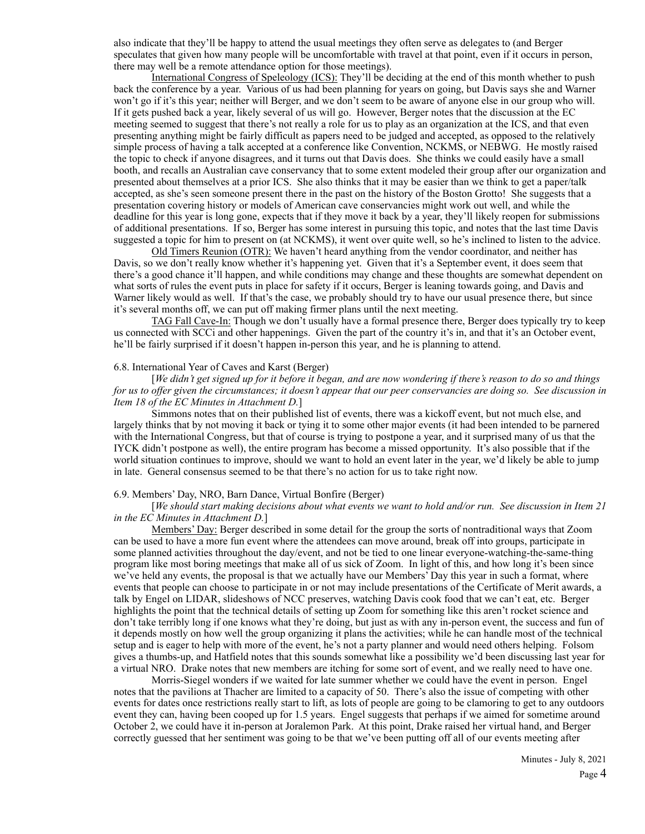also indicate that they'll be happy to attend the usual meetings they often serve as delegates to (and Berger speculates that given how many people will be uncomfortable with travel at that point, even if it occurs in person, there may well be a remote attendance option for those meetings).

International Congress of Speleology (ICS): They'll be deciding at the end of this month whether to push back the conference by a year. Various of us had been planning for years on going, but Davis says she and Warner won't go if it's this year; neither will Berger, and we don't seem to be aware of anyone else in our group who will. If it gets pushed back a year, likely several of us will go. However, Berger notes that the discussion at the EC meeting seemed to suggest that there's not really a role for us to play as an organization at the ICS, and that even presenting anything might be fairly difficult as papers need to be judged and accepted, as opposed to the relatively simple process of having a talk accepted at a conference like Convention, NCKMS, or NEBWG. He mostly raised the topic to check if anyone disagrees, and it turns out that Davis does. She thinks we could easily have a small booth, and recalls an Australian cave conservancy that to some extent modeled their group after our organization and presented about themselves at a prior ICS. She also thinks that it may be easier than we think to get a paper/talk accepted, as she's seen someone present there in the past on the history of the Boston Grotto! She suggests that a presentation covering history or models of American cave conservancies might work out well, and while the deadline for this year is long gone, expects that if they move it back by a year, they'll likely reopen for submissions of additional presentations. If so, Berger has some interest in pursuing this topic, and notes that the last time Davis suggested a topic for him to present on (at NCKMS), it went over quite well, so he's inclined to listen to the advice.

Old Timers Reunion (OTR): We haven't heard anything from the vendor coordinator, and neither has Davis, so we don't really know whether it's happening yet. Given that it's a September event, it does seem that there's a good chance it'll happen, and while conditions may change and these thoughts are somewhat dependent on what sorts of rules the event puts in place for safety if it occurs, Berger is leaning towards going, and Davis and Warner likely would as well. If that's the case, we probably should try to have our usual presence there, but since it's several months off, we can put off making firmer plans until the next meeting.

TAG Fall Cave-In: Though we don't usually have a formal presence there, Berger does typically try to keep us connected with SCCi and other happenings. Given the part of the country it's in, and that it's an October event, he'll be fairly surprised if it doesn't happen in-person this year, and he is planning to attend.

#### 6.8. International Year of Caves and Karst (Berger)

 [*We didn't get signed up for it before it began, and are now wondering if there's reason to do so and things for us to offer given the circumstances; it doesn't appear that our peer conservancies are doing so. See discussion in Item 18 of the EC Minutes in Attachment D.*]

 Simmons notes that on their published list of events, there was a kickoff event, but not much else, and largely thinks that by not moving it back or tying it to some other major events (it had been intended to be parnered with the International Congress, but that of course is trying to postpone a year, and it surprised many of us that the IYCK didn't postpone as well), the entire program has become a missed opportunity. It's also possible that if the world situation continues to improve, should we want to hold an event later in the year, we'd likely be able to jump in late. General consensus seemed to be that there's no action for us to take right now.

#### 6.9. Members' Day, NRO, Barn Dance, Virtual Bonfire (Berger)

#### [*We should start making decisions about what events we want to hold and/or run. See discussion in Item 21 in the EC Minutes in Attachment D.*]

Members' Day: Berger described in some detail for the group the sorts of nontraditional ways that Zoom can be used to have a more fun event where the attendees can move around, break off into groups, participate in some planned activities throughout the day/event, and not be tied to one linear everyone-watching-the-same-thing program like most boring meetings that make all of us sick of Zoom. In light of this, and how long it's been since we've held any events, the proposal is that we actually have our Members' Day this year in such a format, where events that people can choose to participate in or not may include presentations of the Certificate of Merit awards, a talk by Engel on LIDAR, slideshows of NCC preserves, watching Davis cook food that we can't eat, etc. Berger highlights the point that the technical details of setting up Zoom for something like this aren't rocket science and don't take terribly long if one knows what they're doing, but just as with any in-person event, the success and fun of it depends mostly on how well the group organizing it plans the activities; while he can handle most of the technical setup and is eager to help with more of the event, he's not a party planner and would need others helping. Folsom gives a thumbs-up, and Hatfield notes that this sounds somewhat like a possibility we'd been discussing last year for a virtual NRO. Drake notes that new members are itching for some sort of event, and we really need to have one.

 Morris-Siegel wonders if we waited for late summer whether we could have the event in person. Engel notes that the pavilions at Thacher are limited to a capacity of 50. There's also the issue of competing with other events for dates once restrictions really start to lift, as lots of people are going to be clamoring to get to any outdoors event they can, having been cooped up for 1.5 years. Engel suggests that perhaps if we aimed for sometime around October 2, we could have it in-person at Joralemon Park. At this point, Drake raised her virtual hand, and Berger correctly guessed that her sentiment was going to be that we've been putting off all of our events meeting after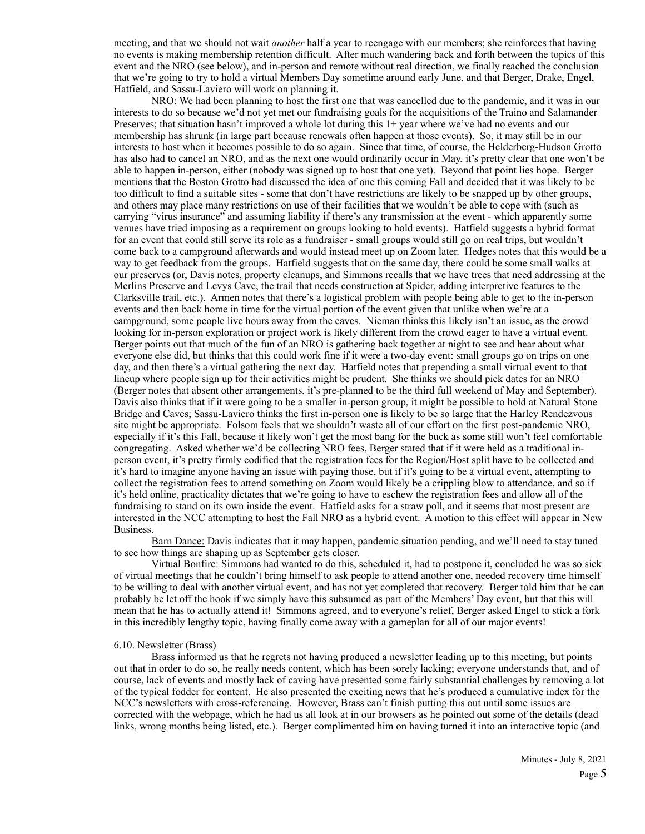meeting, and that we should not wait *another* half a year to reengage with our members; she reinforces that having no events is making membership retention difficult. After much wandering back and forth between the topics of this event and the NRO (see below), and in-person and remote without real direction, we finally reached the conclusion that we're going to try to hold a virtual Members Day sometime around early June, and that Berger, Drake, Engel, Hatfield, and Sassu-Laviero will work on planning it.

NRO: We had been planning to host the first one that was cancelled due to the pandemic, and it was in our interests to do so because we'd not yet met our fundraising goals for the acquisitions of the Traino and Salamander Preserves; that situation hasn't improved a whole lot during this 1+ year where we've had no events and our membership has shrunk (in large part because renewals often happen at those events). So, it may still be in our interests to host when it becomes possible to do so again. Since that time, of course, the Helderberg-Hudson Grotto has also had to cancel an NRO, and as the next one would ordinarily occur in May, it's pretty clear that one won't be able to happen in-person, either (nobody was signed up to host that one yet). Beyond that point lies hope. Berger mentions that the Boston Grotto had discussed the idea of one this coming Fall and decided that it was likely to be too difficult to find a suitable sites - some that don't have restrictions are likely to be snapped up by other groups, and others may place many restrictions on use of their facilities that we wouldn't be able to cope with (such as carrying "virus insurance" and assuming liability if there's any transmission at the event - which apparently some venues have tried imposing as a requirement on groups looking to hold events). Hatfield suggests a hybrid format for an event that could still serve its role as a fundraiser - small groups would still go on real trips, but wouldn't come back to a campground afterwards and would instead meet up on Zoom later. Hedges notes that this would be a way to get feedback from the groups. Hatfield suggests that on the same day, there could be some small walks at our preserves (or, Davis notes, property cleanups, and Simmons recalls that we have trees that need addressing at the Merlins Preserve and Levys Cave, the trail that needs construction at Spider, adding interpretive features to the Clarksville trail, etc.). Armen notes that there's a logistical problem with people being able to get to the in-person events and then back home in time for the virtual portion of the event given that unlike when we're at a campground, some people live hours away from the caves. Nieman thinks this likely isn't an issue, as the crowd looking for in-person exploration or project work is likely different from the crowd eager to have a virtual event. Berger points out that much of the fun of an NRO is gathering back together at night to see and hear about what everyone else did, but thinks that this could work fine if it were a two-day event: small groups go on trips on one day, and then there's a virtual gathering the next day. Hatfield notes that prepending a small virtual event to that lineup where people sign up for their activities might be prudent. She thinks we should pick dates for an NRO (Berger notes that absent other arrangements, it's pre-planned to be the third full weekend of May and September). Davis also thinks that if it were going to be a smaller in-person group, it might be possible to hold at Natural Stone Bridge and Caves; Sassu-Laviero thinks the first in-person one is likely to be so large that the Harley Rendezvous site might be appropriate. Folsom feels that we shouldn't waste all of our effort on the first post-pandemic NRO, especially if it's this Fall, because it likely won't get the most bang for the buck as some still won't feel comfortable congregating. Asked whether we'd be collecting NRO fees, Berger stated that if it were held as a traditional inperson event, it's pretty firmly codified that the registration fees for the Region/Host split have to be collected and it's hard to imagine anyone having an issue with paying those, but if it's going to be a virtual event, attempting to collect the registration fees to attend something on Zoom would likely be a crippling blow to attendance, and so if it's held online, practicality dictates that we're going to have to eschew the registration fees and allow all of the fundraising to stand on its own inside the event. Hatfield asks for a straw poll, and it seems that most present are interested in the NCC attempting to host the Fall NRO as a hybrid event. A motion to this effect will appear in New Business.

Barn Dance: Davis indicates that it may happen, pandemic situation pending, and we'll need to stay tuned to see how things are shaping up as September gets closer.

Virtual Bonfire: Simmons had wanted to do this, scheduled it, had to postpone it, concluded he was so sick of virtual meetings that he couldn't bring himself to ask people to attend another one, needed recovery time himself to be willing to deal with another virtual event, and has not yet completed that recovery. Berger told him that he can probably be let off the hook if we simply have this subsumed as part of the Members' Day event, but that this will mean that he has to actually attend it! Simmons agreed, and to everyone's relief, Berger asked Engel to stick a fork in this incredibly lengthy topic, having finally come away with a gameplan for all of our major events!

#### 6.10. Newsletter (Brass)

 Brass informed us that he regrets not having produced a newsletter leading up to this meeting, but points out that in order to do so, he really needs content, which has been sorely lacking; everyone understands that, and of course, lack of events and mostly lack of caving have presented some fairly substantial challenges by removing a lot of the typical fodder for content. He also presented the exciting news that he's produced a cumulative index for the NCC's newsletters with cross-referencing. However, Brass can't finish putting this out until some issues are corrected with the webpage, which he had us all look at in our browsers as he pointed out some of the details (dead links, wrong months being listed, etc.). Berger complimented him on having turned it into an interactive topic (and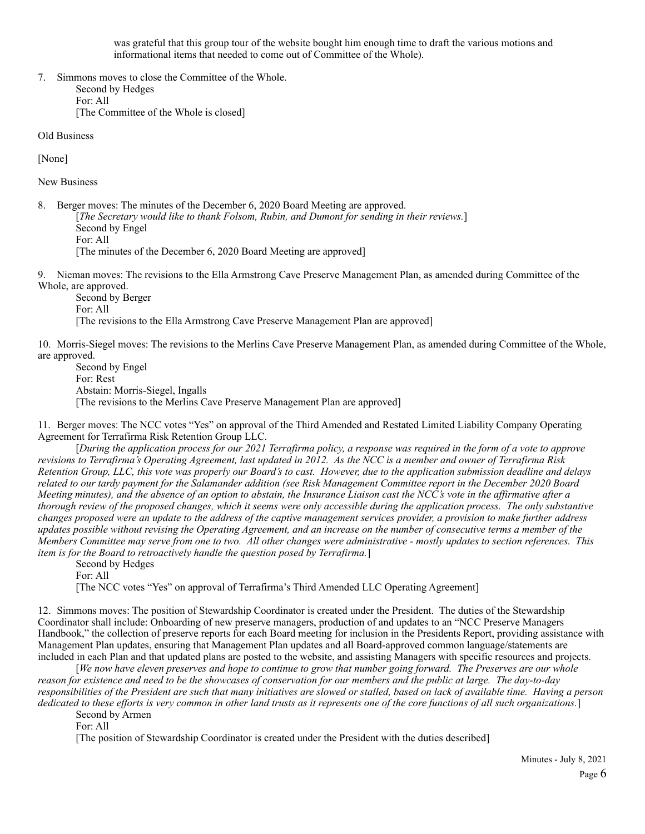was grateful that this group tour of the website bought him enough time to draft the various motions and informational items that needed to come out of Committee of the Whole).

7. Simmons moves to close the Committee of the Whole. Second by Hedges For: All [The Committee of the Whole is closed]

Old Business

[None]

New Business

8. Berger moves: The minutes of the December 6, 2020 Board Meeting are approved. [*The Secretary would like to thank Folsom, Rubin, and Dumont for sending in their reviews.*] Second by Engel For: All [The minutes of the December 6, 2020 Board Meeting are approved]

9. Nieman moves: The revisions to the Ella Armstrong Cave Preserve Management Plan, as amended during Committee of the Whole, are approved.

 Second by Berger For: All [The revisions to the Ella Armstrong Cave Preserve Management Plan are approved]

10. Morris-Siegel moves: The revisions to the Merlins Cave Preserve Management Plan, as amended during Committee of the Whole, are approved.

 Second by Engel For: Rest Abstain: Morris-Siegel, Ingalls [The revisions to the Merlins Cave Preserve Management Plan are approved]

11. Berger moves: The NCC votes "Yes" on approval of the Third Amended and Restated Limited Liability Company Operating Agreement for Terrafirma Risk Retention Group LLC.

 [*During the application process for our 2021 Terrafirma policy, a response was required in the form of a vote to approve revisions to Terrafirma's Operating Agreement, last updated in 2012. As the NCC is a member and owner of Terrafirma Risk Retention Group, LLC, this vote was properly our Board's to cast. However, due to the application submission deadline and delays related to our tardy payment for the Salamander addition (see Risk Management Committee report in the December 2020 Board Meeting minutes), and the absence of an option to abstain, the Insurance Liaison cast the NCC's vote in the affirmative after a thorough review of the proposed changes, which it seems were only accessible during the application process. The only substantive changes proposed were an update to the address of the captive management services provider, a provision to make further address updates possible without revising the Operating Agreement, and an increase on the number of consecutive terms a member of the Members Committee may serve from one to two. All other changes were administrative - mostly updates to section references. This item is for the Board to retroactively handle the question posed by Terrafirma.*]

 Second by Hedges For: All [The NCC votes "Yes" on approval of Terrafirma's Third Amended LLC Operating Agreement]

12. Simmons moves: The position of Stewardship Coordinator is created under the President. The duties of the Stewardship Coordinator shall include: Onboarding of new preserve managers, production of and updates to an "NCC Preserve Managers Handbook," the collection of preserve reports for each Board meeting for inclusion in the Presidents Report, providing assistance with Management Plan updates, ensuring that Management Plan updates and all Board-approved common language/statements are included in each Plan and that updated plans are posted to the website, and assisting Managers with specific resources and projects.

 [*We now have eleven preserves and hope to continue to grow that number going forward. The Preserves are our whole reason for existence and need to be the showcases of conservation for our members and the public at large. The day-to-day responsibilities of the President are such that many initiatives are slowed or stalled, based on lack of available time. Having a person dedicated to these efforts is very common in other land trusts as it represents one of the core functions of all such organizations.*]

Second by Armen

For: All

[The position of Stewardship Coordinator is created under the President with the duties described]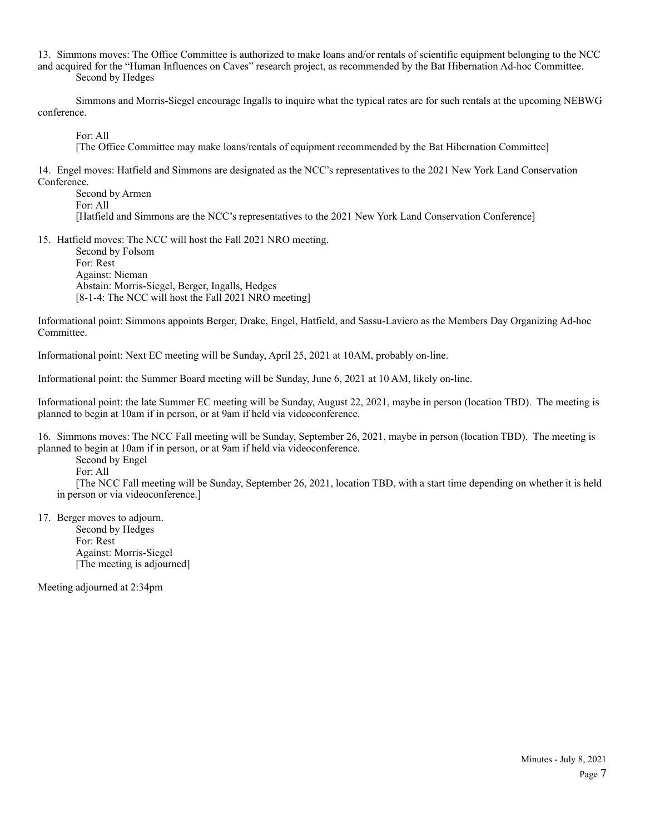13. Simmons moves: The Office Committee is authorized to make loans and/or rentals of scientific equipment belonging to the NCC and acquired for the "Human Influences on Caves" research project, as recommended by the Bat Hibernation Ad-hoc Committee. Second by Hedges

 Simmons and Morris-Siegel encourage Ingalls to inquire what the typical rates are for such rentals at the upcoming NEBWG conference.

For: All

[The Office Committee may make loans/rentals of equipment recommended by the Bat Hibernation Committee]

14. Engel moves: Hatfield and Simmons are designated as the NCC's representatives to the 2021 New York Land Conservation Conference.

 Second by Armen For: All [Hatfield and Simmons are the NCC's representatives to the 2021 New York Land Conservation Conference]

15. Hatfield moves: The NCC will host the Fall 2021 NRO meeting. Second by Folsom For: Rest Against: Nieman Abstain: Morris-Siegel, Berger, Ingalls, Hedges [8-1-4: The NCC will host the Fall 2021 NRO meeting]

Informational point: Simmons appoints Berger, Drake, Engel, Hatfield, and Sassu-Laviero as the Members Day Organizing Ad-hoc Committee.

Informational point: Next EC meeting will be Sunday, April 25, 2021 at 10AM, probably on-line.

Informational point: the Summer Board meeting will be Sunday, June 6, 2021 at 10 AM, likely on-line.

Informational point: the late Summer EC meeting will be Sunday, August 22, 2021, maybe in person (location TBD). The meeting is planned to begin at 10am if in person, or at 9am if held via videoconference.

16. Simmons moves: The NCC Fall meeting will be Sunday, September 26, 2021, maybe in person (location TBD). The meeting is planned to begin at 10am if in person, or at 9am if held via videoconference.

Second by Engel

For: All

 [The NCC Fall meeting will be Sunday, September 26, 2021, location TBD, with a start time depending on whether it is held in person or via videoconference.]

17. Berger moves to adjourn.

 Second by Hedges For: Rest Against: Morris-Siegel [The meeting is adjourned]

Meeting adjourned at 2:34pm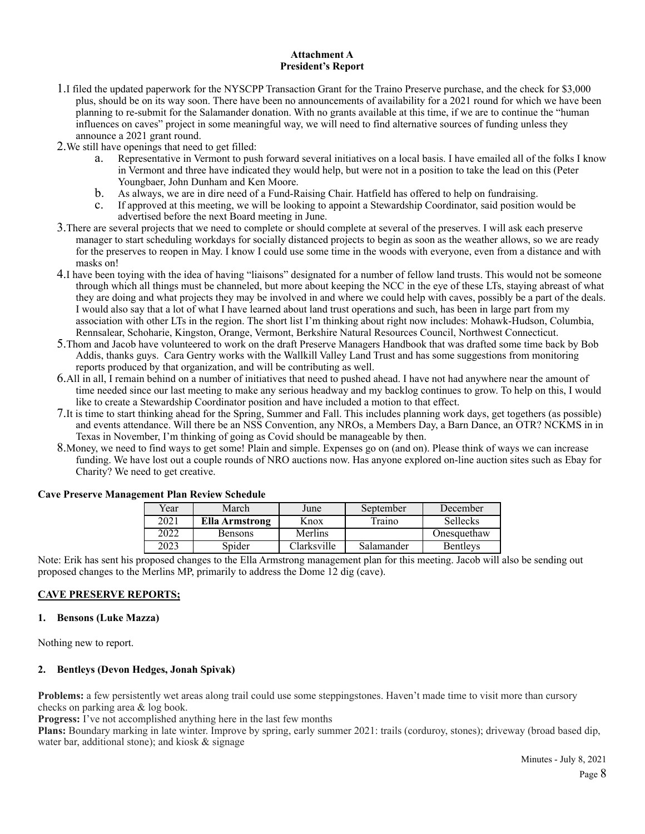### **Attachment A President's Report**

- 1.I filed the updated paperwork for the NYSCPP Transaction Grant for the Traino Preserve purchase, and the check for \$3,000 plus, should be on its way soon. There have been no announcements of availability for a 2021 round for which we have been planning to re-submit for the Salamander donation. With no grants available at this time, if we are to continue the "human influences on caves" project in some meaningful way, we will need to find alternative sources of funding unless they announce a 2021 grant round.
- 2.We still have openings that need to get filled:
	- a. Representative in Vermont to push forward several initiatives on a local basis. I have emailed all of the folks I know in Vermont and three have indicated they would help, but were not in a position to take the lead on this (Peter Youngbaer, John Dunham and Ken Moore.
	- b. As always, we are in dire need of a Fund-Raising Chair. Hatfield has offered to help on fundraising.<br>C. If approved at this meeting, we will be looking to appoint a Stewardship Coordinator, said position v
	- c. If approved at this meeting, we will be looking to appoint a Stewardship Coordinator, said position would be advertised before the next Board meeting in June.
- 3.There are several projects that we need to complete or should complete at several of the preserves. I will ask each preserve manager to start scheduling workdays for socially distanced projects to begin as soon as the weather allows, so we are ready for the preserves to reopen in May. I know I could use some time in the woods with everyone, even from a distance and with masks on!
- 4.I have been toying with the idea of having "liaisons" designated for a number of fellow land trusts. This would not be someone through which all things must be channeled, but more about keeping the NCC in the eye of these LTs, staying abreast of what they are doing and what projects they may be involved in and where we could help with caves, possibly be a part of the deals. I would also say that a lot of what I have learned about land trust operations and such, has been in large part from my association with other LTs in the region. The short list I'm thinking about right now includes: Mohawk-Hudson, Columbia, Rennsalear, Schoharie, Kingston, Orange, Vermont, Berkshire Natural Resources Council, Northwest Connecticut.
- 5.Thom and Jacob have volunteered to work on the draft Preserve Managers Handbook that was drafted some time back by Bob Addis, thanks guys. Cara Gentry works with the Wallkill Valley Land Trust and has some suggestions from monitoring reports produced by that organization, and will be contributing as well.
- 6.All in all, I remain behind on a number of initiatives that need to pushed ahead. I have not had anywhere near the amount of time needed since our last meeting to make any serious headway and my backlog continues to grow. To help on this, I would like to create a Stewardship Coordinator position and have included a motion to that effect.
- 7.It is time to start thinking ahead for the Spring, Summer and Fall. This includes planning work days, get togethers (as possible) and events attendance. Will there be an NSS Convention, any NROs, a Members Day, a Barn Dance, an OTR? NCKMS in in Texas in November, I'm thinking of going as Covid should be manageable by then.
- 8.Money, we need to find ways to get some! Plain and simple. Expenses go on (and on). Please think of ways we can increase funding. We have lost out a couple rounds of NRO auctions now. Has anyone explored on-line auction sites such as Ebay for Charity? We need to get creative.

| Year | March                 | June        | September  | December        |
|------|-----------------------|-------------|------------|-----------------|
| 2021 | <b>Ella Armstrong</b> | Knox        | Traino     | <b>Sellecks</b> |
| 2022 | <b>Bensons</b>        | Merlins     |            | Onesquethaw     |
| 2023 | Spider                | Clarksville | Salamander | <b>Bentleys</b> |

### **Cave Preserve Management Plan Review Schedule**

Note: Erik has sent his proposed changes to the Ella Armstrong management plan for this meeting. Jacob will also be sending out proposed changes to the Merlins MP, primarily to address the Dome 12 dig (cave).

# **CAVE PRESERVE REPORTS;**

## **1. Bensons (Luke Mazza)**

Nothing new to report.

### **2. Bentleys (Devon Hedges, Jonah Spivak)**

**Problems:** a few persistently wet areas along trail could use some steppingstones. Haven't made time to visit more than cursory checks on parking area & log book.

**Progress:** I've not accomplished anything here in the last few months

**Plans:** Boundary marking in late winter. Improve by spring, early summer 2021: trails (corduroy, stones); driveway (broad based dip, water bar, additional stone); and kiosk & signage

> Minutes - July 8, 2021 Page 8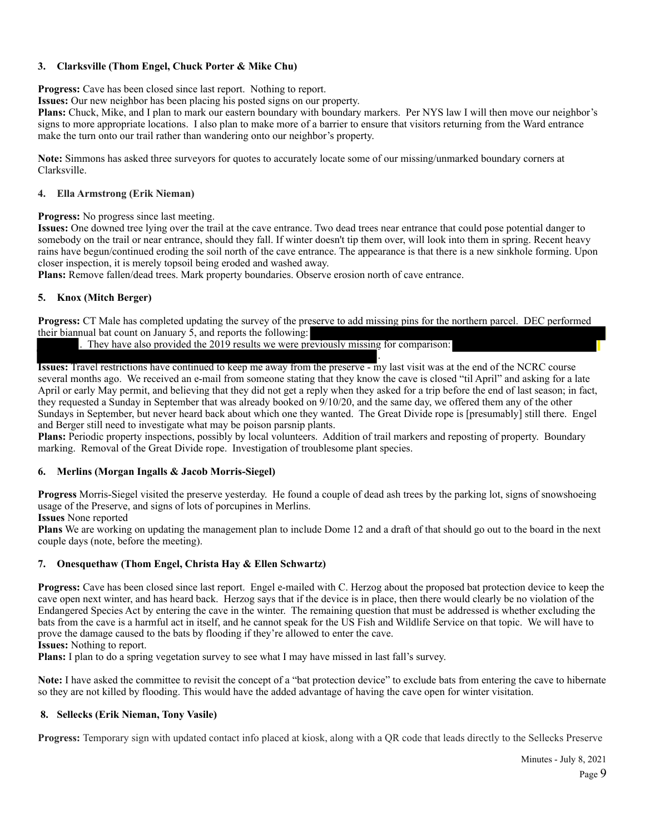## **3. Clarksville (Thom Engel, Chuck Porter & Mike Chu)**

**Progress:** Cave has been closed since last report. Nothing to report.

**Issues:** Our new neighbor has been placing his posted signs on our property.

**Plans:** Chuck, Mike, and I plan to mark our eastern boundary with boundary markers. Per NYS law I will then move our neighbor's signs to more appropriate locations. I also plan to make more of a barrier to ensure that visitors returning from the Ward entrance make the turn onto our trail rather than wandering onto our neighbor's property.

**Note:** Simmons has asked three surveyors for quotes to accurately locate some of our missing/unmarked boundary corners at Clarksville.

#### **4. Ella Armstrong (Erik Nieman)**

**Progress:** No progress since last meeting.

**Issues:** One downed tree lying over the trail at the cave entrance. Two dead trees near entrance that could pose potential danger to somebody on the trail or near entrance, should they fall. If winter doesn't tip them over, will look into them in spring. Recent heavy rains have begun/continued eroding the soil north of the cave entrance. The appearance is that there is a new sinkhole forming. Upon closer inspection, it is merely topsoil being eroded and washed away.

**Plans:** Remove fallen/dead trees. Mark property boundaries. Observe erosion north of cave entrance.

### **5. Knox (Mitch Berger)**

**Progress:** CT Male has completed updating the survey of the preserve to add missing pins for the northern parcel. DEC performed their biannual bat count on January 5, and reports the following:

. They have also provided the 2019 results we were previously missing for comparison:

. **Issues:** Travel restrictions have continued to keep me away from the preserve - my last visit was at the end of the NCRC course several months ago. We received an e-mail from someone stating that they know the cave is closed "til April" and asking for a late April or early May permit, and believing that they did not get a reply when they asked for a trip before the end of last season; in fact, they requested a Sunday in September that was already booked on 9/10/20, and the same day, we offered them any of the other Sundays in September, but never heard back about which one they wanted. The Great Divide rope is [presumably] still there. Engel and Berger still need to investigate what may be poison parsnip plants.

**Plans:** Periodic property inspections, possibly by local volunteers. Addition of trail markers and reposting of property. Boundary marking. Removal of the Great Divide rope. Investigation of troublesome plant species.

### **6. Merlins (Morgan Ingalls & Jacob Morris-Siegel)**

**Progress** Morris-Siegel visited the preserve yesterday. He found a couple of dead ash trees by the parking lot, signs of snowshoeing usage of the Preserve, and signs of lots of porcupines in Merlins.

**Issues** None reported

**Plans** We are working on updating the management plan to include Dome 12 and a draft of that should go out to the board in the next couple days (note, before the meeting).

### **7. Onesquethaw (Thom Engel, Christa Hay & Ellen Schwartz)**

**Progress:** Cave has been closed since last report. Engel e-mailed with C. Herzog about the proposed bat protection device to keep the cave open next winter, and has heard back. Herzog says that if the device is in place, then there would clearly be no violation of the Endangered Species Act by entering the cave in the winter. The remaining question that must be addressed is whether excluding the bats from the cave is a harmful act in itself, and he cannot speak for the US Fish and Wildlife Service on that topic. We will have to prove the damage caused to the bats by flooding if they're allowed to enter the cave.

**Issues:** Nothing to report.

**Plans:** I plan to do a spring vegetation survey to see what I may have missed in last fall's survey.

**Note:** I have asked the committee to revisit the concept of a "bat protection device" to exclude bats from entering the cave to hibernate so they are not killed by flooding. This would have the added advantage of having the cave open for winter visitation.

### **8. Sellecks (Erik Nieman, Tony Vasile)**

**Progress:** Temporary sign with updated contact info placed at kiosk, along with a QR code that leads directly to the Sellecks Preserve

Minutes - July 8, 2021 Page 9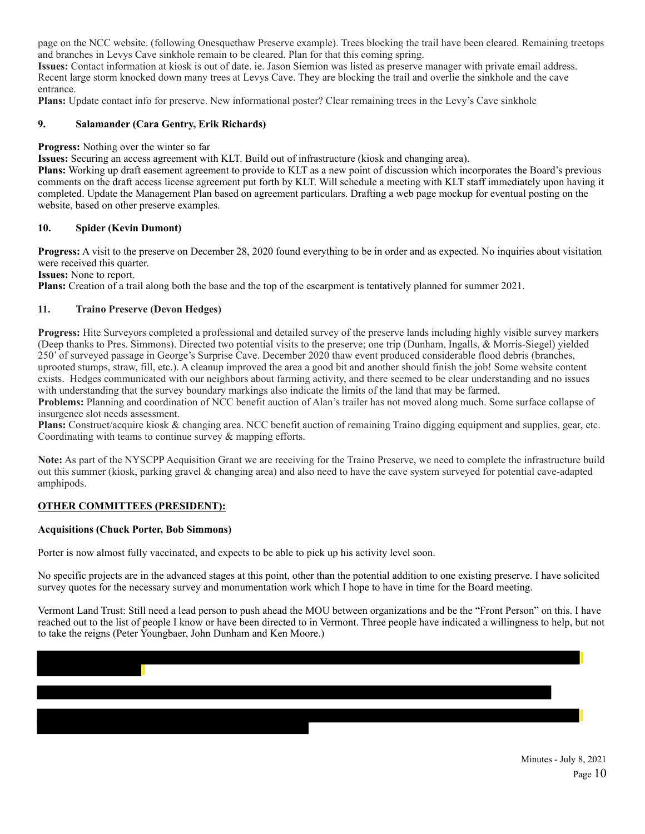page on the NCC website. (following Onesquethaw Preserve example). Trees blocking the trail have been cleared. Remaining treetops and branches in Levys Cave sinkhole remain to be cleared. Plan for that this coming spring.

**Issues:** Contact information at kiosk is out of date. ie. Jason Siemion was listed as preserve manager with private email address. Recent large storm knocked down many trees at Levys Cave. They are blocking the trail and overlie the sinkhole and the cave entrance.

**Plans:** Update contact info for preserve. New informational poster? Clear remaining trees in the Levy's Cave sinkhole

## **9. Salamander (Cara Gentry, Erik Richards)**

**Progress:** Nothing over the winter so far

**Issues:** Securing an access agreement with KLT. Build out of infrastructure (kiosk and changing area).

**Plans:** Working up draft easement agreement to provide to KLT as a new point of discussion which incorporates the Board's previous comments on the draft access license agreement put forth by KLT. Will schedule a meeting with KLT staff immediately upon having it completed. Update the Management Plan based on agreement particulars. Drafting a web page mockup for eventual posting on the website, based on other preserve examples.

### **10. Spider (Kevin Dumont)**

**Progress:** A visit to the preserve on December 28, 2020 found everything to be in order and as expected. No inquiries about visitation were received this quarter.

**Issues:** None to report.

**Plans:** Creation of a trail along both the base and the top of the escarpment is tentatively planned for summer 2021.

### **11. Traino Preserve (Devon Hedges)**

**Progress:** Hite Surveyors completed a professional and detailed survey of the preserve lands including highly visible survey markers (Deep thanks to Pres. Simmons). Directed two potential visits to the preserve; one trip (Dunham, Ingalls, & Morris-Siegel) yielded 250' of surveyed passage in George's Surprise Cave. December 2020 thaw event produced considerable flood debris (branches, uprooted stumps, straw, fill, etc.). A cleanup improved the area a good bit and another should finish the job! Some website content exists. Hedges communicated with our neighbors about farming activity, and there seemed to be clear understanding and no issues with understanding that the survey boundary markings also indicate the limits of the land that may be farmed.

**Problems:** Planning and coordination of NCC benefit auction of Alan's trailer has not moved along much. Some surface collapse of insurgence slot needs assessment.

**Plans:** Construct/acquire kiosk & changing area. NCC benefit auction of remaining Traino digging equipment and supplies, gear, etc. Coordinating with teams to continue survey & mapping efforts.

**Note:** As part of the NYSCPP Acquisition Grant we are receiving for the Traino Preserve, we need to complete the infrastructure build out this summer (kiosk, parking gravel  $\&$  changing area) and also need to have the cave system surveyed for potential cave-adapted amphipods.

### **OTHER COMMITTEES (PRESIDENT):**

### **Acquisitions (Chuck Porter, Bob Simmons)**

Porter is now almost fully vaccinated, and expects to be able to pick up his activity level soon.

No specific projects are in the advanced stages at this point, other than the potential addition to one existing preserve. I have solicited survey quotes for the necessary survey and monumentation work which I hope to have in time for the Board meeting.

Vermont Land Trust: Still need a lead person to push ahead the MOU between organizations and be the "Front Person" on this. I have reached out to the list of people I know or have been directed to in Vermont. Three people have indicated a willingness to help, but not to take the reigns (Peter Youngbaer, John Dunham and Ken Moore.)

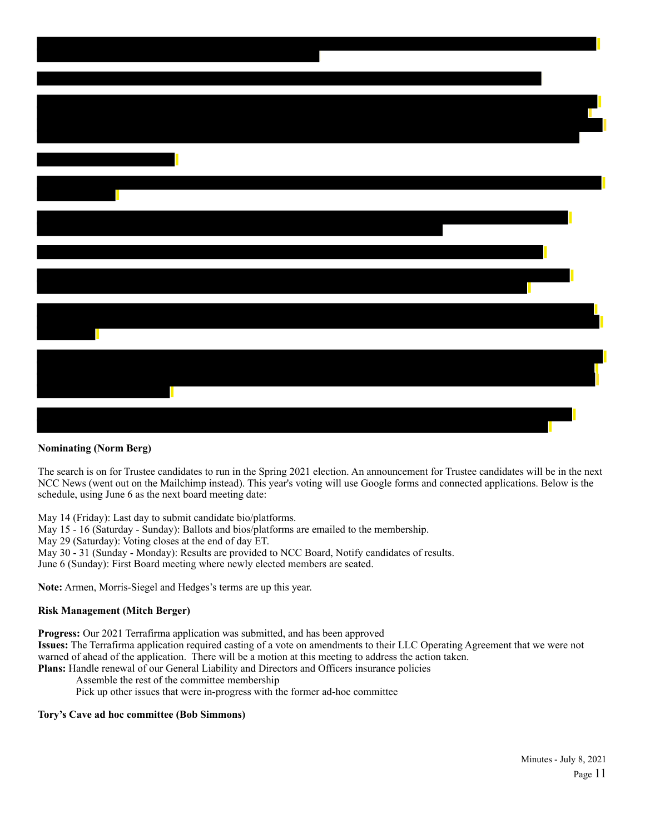# **Nominating (Norm Berg)**

The search is on for Trustee candidates to run in the Spring 2021 election. An announcement for Trustee candidates will be in the next NCC News (went out on the Mailchimp instead). This year's voting will use Google forms and connected applications. Below is the schedule, using June 6 as the next board meeting date:

May 14 (Friday): Last day to submit candidate bio/platforms.

May 15 - 16 (Saturday - Sunday): Ballots and bios/platforms are emailed to the membership.

May 29 (Saturday): Voting closes at the end of day ET.

May 30 - 31 (Sunday - Monday): Results are provided to NCC Board, Notify candidates of results.

June 6 (Sunday): First Board meeting where newly elected members are seated.

**Note:** Armen, Morris-Siegel and Hedges's terms are up this year.

### **Risk Management (Mitch Berger)**

**Progress:** Our 2021 Terrafirma application was submitted, and has been approved

**Issues:** The Terrafirma application required casting of a vote on amendments to their LLC Operating Agreement that we were not warned of ahead of the application. There will be a motion at this meeting to address the action taken.

**Plans:** Handle renewal of our General Liability and Directors and Officers insurance policies

Assemble the rest of the committee membership

Pick up other issues that were in-progress with the former ad-hoc committee

### **Tory's Cave ad hoc committee (Bob Simmons)**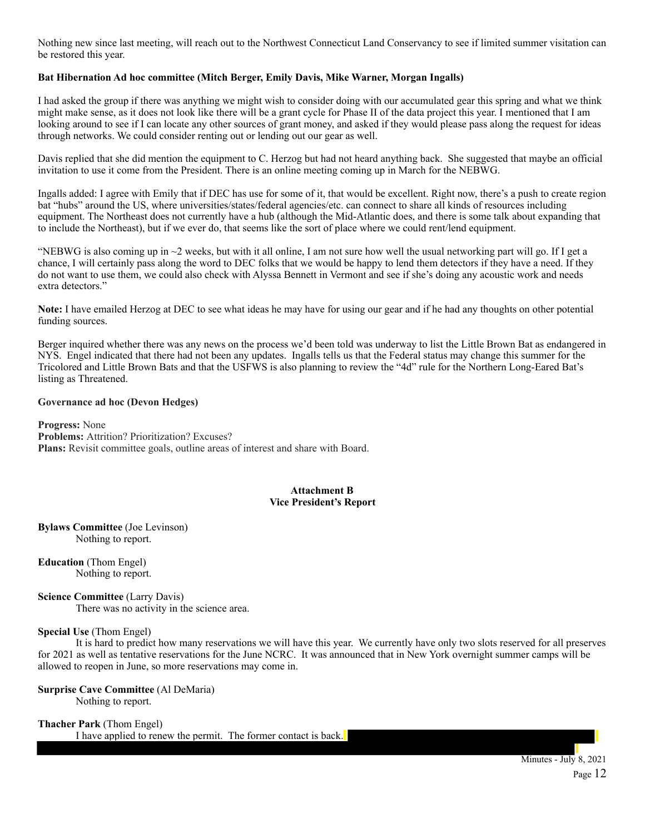Nothing new since last meeting, will reach out to the Northwest Connecticut Land Conservancy to see if limited summer visitation can be restored this year.

## **Bat Hibernation Ad hoc committee (Mitch Berger, Emily Davis, Mike Warner, Morgan Ingalls)**

I had asked the group if there was anything we might wish to consider doing with our accumulated gear this spring and what we think might make sense, as it does not look like there will be a grant cycle for Phase II of the data project this year. I mentioned that I am looking around to see if I can locate any other sources of grant money, and asked if they would please pass along the request for ideas through networks. We could consider renting out or lending out our gear as well.

Davis replied that she did mention the equipment to C. Herzog but had not heard anything back. She suggested that maybe an official invitation to use it come from the President. There is an online meeting coming up in March for the NEBWG.

Ingalls added: I agree with Emily that if DEC has use for some of it, that would be excellent. Right now, there's a push to create region bat "hubs" around the US, where universities/states/federal agencies/etc. can connect to share all kinds of resources including equipment. The Northeast does not currently have a hub (although the Mid-Atlantic does, and there is some talk about expanding that to include the Northeast), but if we ever do, that seems like the sort of place where we could rent/lend equipment.

"NEBWG is also coming up in  $\sim$ 2 weeks, but with it all online, I am not sure how well the usual networking part will go. If I get a chance, I will certainly pass along the word to DEC folks that we would be happy to lend them detectors if they have a need. If they do not want to use them, we could also check with Alyssa Bennett in Vermont and see if she's doing any acoustic work and needs extra detectors."

**Note:** I have emailed Herzog at DEC to see what ideas he may have for using our gear and if he had any thoughts on other potential funding sources.

Berger inquired whether there was any news on the process we'd been told was underway to list the Little Brown Bat as endangered in NYS. Engel indicated that there had not been any updates. Ingalls tells us that the Federal status may change this summer for the Tricolored and Little Brown Bats and that the USFWS is also planning to review the "4d" rule for the Northern Long-Eared Bat's listing as Threatened.

#### **Governance ad hoc (Devon Hedges)**

**Progress:** None **Problems:** Attrition? Prioritization? Excuses? **Plans:** Revisit committee goals, outline areas of interest and share with Board.

### **Attachment B Vice President's Report**

**Bylaws Committee** (Joe Levinson) Nothing to report.

**Education** (Thom Engel) Nothing to report.

**Science Committee** (Larry Davis) There was no activity in the science area.

### **Special Use** (Thom Engel)

 It is hard to predict how many reservations we will have this year. We currently have only two slots reserved for all preserves for 2021 as well as tentative reservations for the June NCRC. It was announced that in New York overnight summer camps will be allowed to reopen in June, so more reservations may come in.

# **Surprise Cave Committee** (Al DeMaria)

Nothing to report.

### **Thacher Park** (Thom Engel)

I have applied to renew the permit. The former contact is back.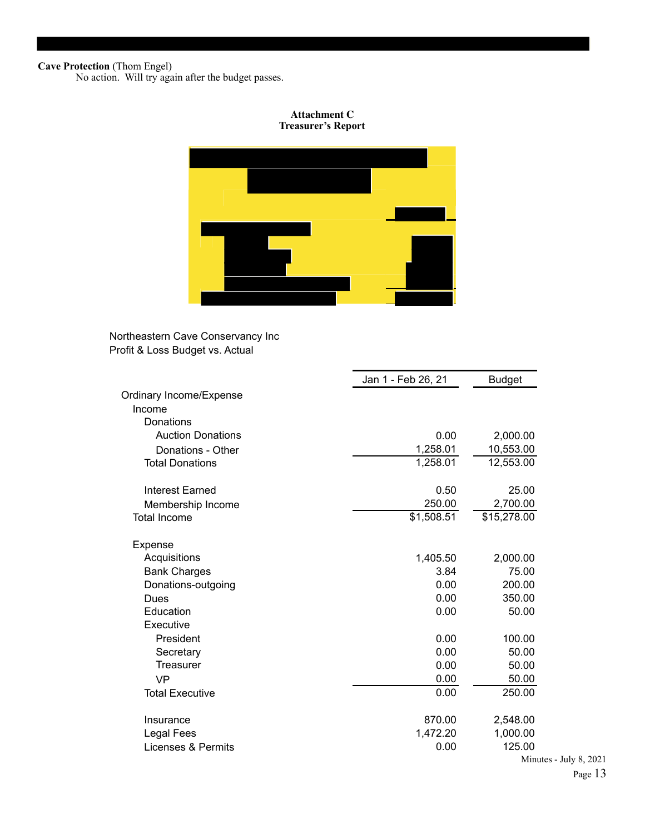#### **Cave Protection** (Thom Engel)

٦

No action. Will try again after the budget passes.

### **Attachment C Treasurer's Report**



# Northeastern Cave Conservancy Inc Profit & Loss Budget vs. Actual

|                          | Jan 1 - Feb 26, 21 | <b>Budget</b> |
|--------------------------|--------------------|---------------|
| Ordinary Income/Expense  |                    |               |
| Income                   |                    |               |
| Donations                |                    |               |
| <b>Auction Donations</b> | 0.00               | 2,000.00      |
| Donations - Other        | 1,258.01           | 10,553.00     |
| <b>Total Donations</b>   | 1,258.01           | 12,553.00     |
| Interest Earned          | 0.50               | 25.00         |
| Membership Income        | 250.00             | 2,700.00      |
| <b>Total Income</b>      | \$1,508.51         | \$15,278.00   |
| Expense                  |                    |               |
| Acquisitions             | 1,405.50           | 2,000.00      |
| <b>Bank Charges</b>      | 3.84               | 75.00         |
| Donations-outgoing       | 0.00               | 200.00        |
| Dues                     | 0.00               | 350.00        |
| Education                | 0.00               | 50.00         |
| Executive                |                    |               |
| President                | 0.00               | 100.00        |
| Secretary                | 0.00               | 50.00         |
| <b>Treasurer</b>         | 0.00               | 50.00         |
| <b>VP</b>                | 0.00               | 50.00         |
| <b>Total Executive</b>   | 0.00               | 250.00        |
| Insurance                | 870.00             | 2,548.00      |
| Legal Fees               | 1,472.20           | 1,000.00      |
| Licenses & Permits       | 0.00               | 125.00        |
|                          |                    | Minu          |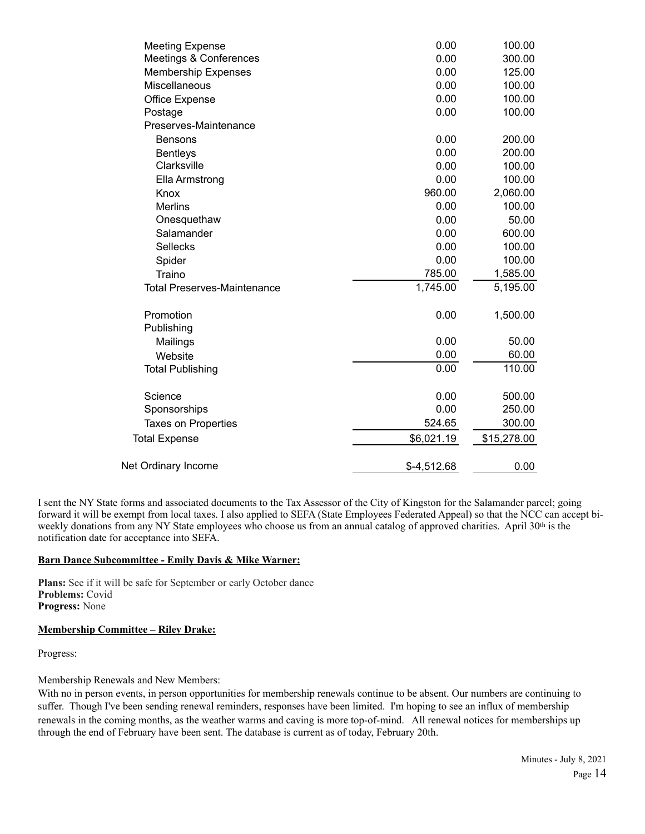| <b>Meeting Expense</b>             | 0.00         | 100.00      |
|------------------------------------|--------------|-------------|
| Meetings & Conferences             | 0.00         | 300.00      |
| <b>Membership Expenses</b>         | 0.00         | 125.00      |
| <b>Miscellaneous</b>               | 0.00         | 100.00      |
| Office Expense                     | 0.00         | 100.00      |
| Postage                            | 0.00         | 100.00      |
| Preserves-Maintenance              |              |             |
| <b>Bensons</b>                     | 0.00         | 200.00      |
| <b>Bentleys</b>                    | 0.00         | 200.00      |
| Clarksville                        | 0.00         | 100.00      |
| Ella Armstrong                     | 0.00         | 100.00      |
| Knox                               | 960.00       | 2,060.00    |
| <b>Merlins</b>                     | 0.00         | 100.00      |
| Onesquethaw                        | 0.00         | 50.00       |
| Salamander                         | 0.00         | 600.00      |
| <b>Sellecks</b>                    | 0.00         | 100.00      |
| Spider                             | 0.00         | 100.00      |
| Traino                             | 785.00       | 1,585.00    |
| <b>Total Preserves-Maintenance</b> | 1,745.00     | 5,195.00    |
| Promotion                          | 0.00         | 1,500.00    |
| Publishing                         |              |             |
| Mailings                           | 0.00         | 50.00       |
| Website                            | 0.00         | 60.00       |
| <b>Total Publishing</b>            | 0.00         | 110.00      |
| Science                            | 0.00         | 500.00      |
| Sponsorships                       | 0.00         | 250.00      |
| <b>Taxes on Properties</b>         | 524.65       | 300.00      |
| <b>Total Expense</b>               | \$6,021.19   | \$15,278.00 |
| Net Ordinary Income                | $$-4,512.68$ | 0.00        |

I sent the NY State forms and associated documents to the Tax Assessor of the City of Kingston for the Salamander parcel; going forward it will be exempt from local taxes. I also applied to SEFA (State Employees Federated Appeal) so that the NCC can accept biweekly donations from any NY State employees who choose us from an annual catalog of approved charities. April 30th is the notification date for acceptance into SEFA.

### **Barn Dance Subcommittee - Emily Davis & Mike Warner:**

**Plans:** See if it will be safe for September or early October dance **Problems:** Covid **Progress:** None

### **Membership Committee – Riley Drake:**

Progress:

Membership Renewals and New Members:

With no in person events, in person opportunities for membership renewals continue to be absent. Our numbers are continuing to suffer. Though I've been sending renewal reminders, responses have been limited. I'm hoping to see an influx of membership renewals in the coming months, as the weather warms and caving is more top-of-mind. All renewal notices for memberships up through the end of February have been sent. The database is current as of today, February 20th.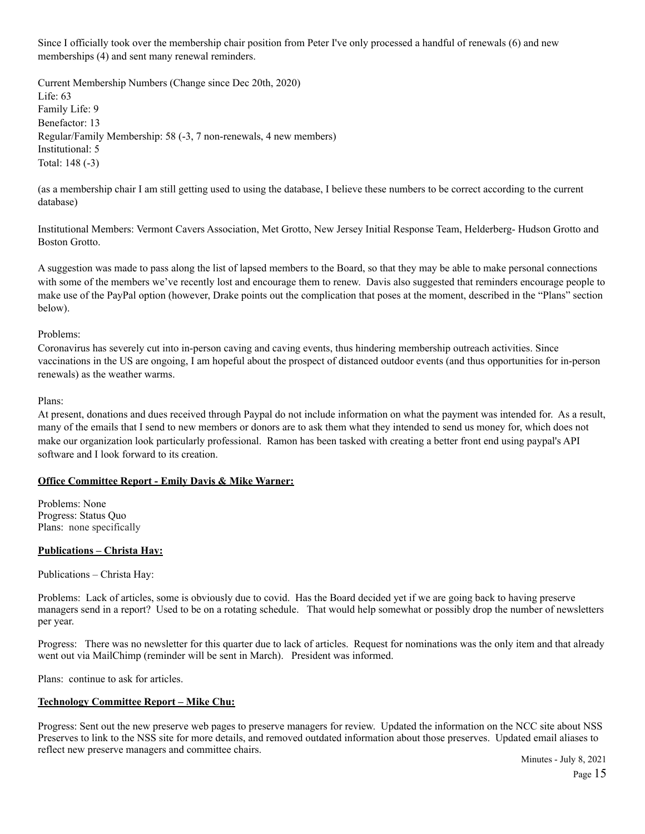Since I officially took over the membership chair position from Peter I've only processed a handful of renewals (6) and new memberships (4) and sent many renewal reminders.

Current Membership Numbers (Change since Dec 20th, 2020) Life: 63 Family Life: 9 Benefactor: 13 Regular/Family Membership: 58 (-3, 7 non-renewals, 4 new members) Institutional: 5 Total: 148 (-3)

(as a membership chair I am still getting used to using the database, I believe these numbers to be correct according to the current database)

Institutional Members: Vermont Cavers Association, Met Grotto, New Jersey Initial Response Team, Helderberg- Hudson Grotto and Boston Grotto.

A suggestion was made to pass along the list of lapsed members to the Board, so that they may be able to make personal connections with some of the members we've recently lost and encourage them to renew. Davis also suggested that reminders encourage people to make use of the PayPal option (however, Drake points out the complication that poses at the moment, described in the "Plans" section below).

Problems:

Coronavirus has severely cut into in-person caving and caving events, thus hindering membership outreach activities. Since vaccinations in the US are ongoing, I am hopeful about the prospect of distanced outdoor events (and thus opportunities for in-person renewals) as the weather warms.

Plans:

At present, donations and dues received through Paypal do not include information on what the payment was intended for. As a result, many of the emails that I send to new members or donors are to ask them what they intended to send us money for, which does not make our organization look particularly professional. Ramon has been tasked with creating a better front end using paypal's API software and I look forward to its creation.

### **Office Committee Report - Emily Davis & Mike Warner:**

Problems: None Progress: Status Quo Plans: none specifically

### **Publications – Christa Hay:**

Publications – Christa Hay:

Problems: Lack of articles, some is obviously due to covid. Has the Board decided yet if we are going back to having preserve managers send in a report? Used to be on a rotating schedule. That would help somewhat or possibly drop the number of newsletters per year.

Progress: There was no newsletter for this quarter due to lack of articles. Request for nominations was the only item and that already went out via MailChimp (reminder will be sent in March). President was informed.

Plans: continue to ask for articles.

### **Technology Committee Report – Mike Chu:**

Progress: Sent out the new preserve web pages to preserve managers for review. Updated the information on the NCC site about NSS Preserves to link to the NSS site for more details, and removed outdated information about those preserves. Updated email aliases to reflect new preserve managers and committee chairs.

Minutes - July 8, 2021 Page 15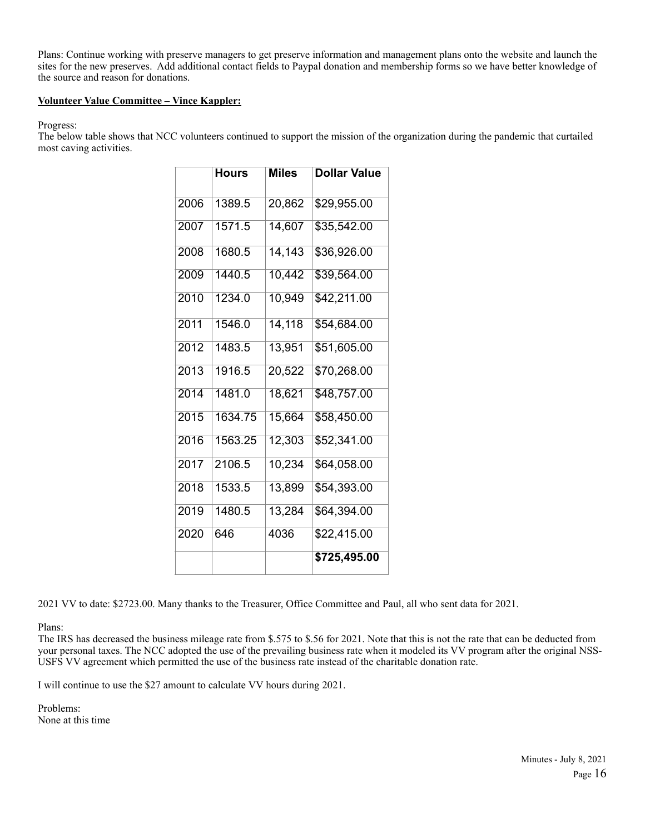Plans: Continue working with preserve managers to get preserve information and management plans onto the website and launch the sites for the new preserves. Add additional contact fields to Paypal donation and membership forms so we have better knowledge of the source and reason for donations.

## **Volunteer Value Committee – Vince Kappler:**

Progress:

The below table shows that NCC volunteers continued to support the mission of the organization during the pandemic that curtailed most caving activities.

|      | <b>Hours</b> | <b>Miles</b> | <b>Dollar Value</b> |
|------|--------------|--------------|---------------------|
| 2006 | 1389.5       | 20,862       | \$29,955.00         |
| 2007 | 1571.5       | 14,607       | \$35,542.00         |
| 2008 | 1680.5       | 14, 143      | \$36,926.00         |
| 2009 | 1440.5       | 10,442       | \$39,564.00         |
| 2010 | 1234.0       | 10,949       | \$42,211.00         |
| 2011 | 1546.0       | 14, 118      | \$54,684.00         |
| 2012 | 1483.5       | 13,951       | \$51,605.00         |
| 2013 | 1916.5       | 20,522       | \$70,268.00         |
| 2014 | 1481.0       | 18,621       | \$48,757.00         |
| 2015 | 1634.75      | 15,664       | \$58,450.00         |
| 2016 | 1563.25      | 12,303       | \$52,341.00         |
| 2017 | 2106.5       | 10,234       | \$64,058.00         |
| 2018 | 1533.5       | 13,899       | \$54,393.00         |
| 2019 | 1480.5       | 13,284       | \$64,394.00         |
| 2020 | 646          | 4036         | \$22,415.00         |
|      |              |              | \$725,495.00        |

2021 VV to date: \$2723.00. Many thanks to the Treasurer, Office Committee and Paul, all who sent data for 2021.

Plans:

The IRS has decreased the business mileage rate from \$.575 to \$.56 for 2021. Note that this is not the rate that can be deducted from your personal taxes. The NCC adopted the use of the prevailing business rate when it modeled its VV program after the original NSS-USFS VV agreement which permitted the use of the business rate instead of the charitable donation rate.

I will continue to use the \$27 amount to calculate VV hours during 2021.

Problems: None at this time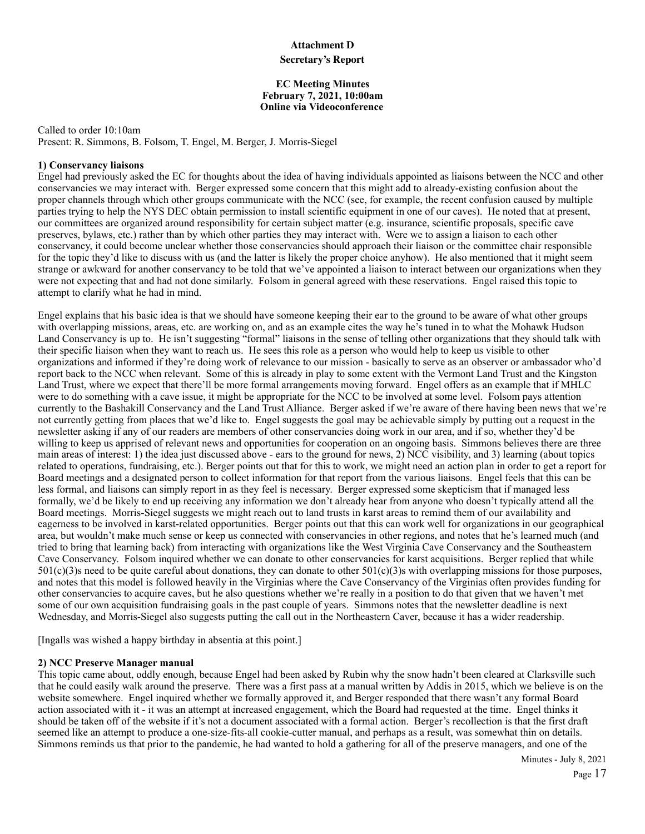#### **Attachment D**

### **Secretary's Report**

#### **EC Meeting Minutes February 7, 2021, 10:00am Online via Videoconference**

Called to order 10:10am Present: R. Simmons, B. Folsom, T. Engel, M. Berger, J. Morris-Siegel

### **1) Conservancy liaisons**

Engel had previously asked the EC for thoughts about the idea of having individuals appointed as liaisons between the NCC and other conservancies we may interact with. Berger expressed some concern that this might add to already-existing confusion about the proper channels through which other groups communicate with the NCC (see, for example, the recent confusion caused by multiple parties trying to help the NYS DEC obtain permission to install scientific equipment in one of our caves). He noted that at present, our committees are organized around responsibility for certain subject matter (e.g. insurance, scientific proposals, specific cave preserves, bylaws, etc.) rather than by which other parties they may interact with. Were we to assign a liaison to each other conservancy, it could become unclear whether those conservancies should approach their liaison or the committee chair responsible for the topic they'd like to discuss with us (and the latter is likely the proper choice anyhow). He also mentioned that it might seem strange or awkward for another conservancy to be told that we've appointed a liaison to interact between our organizations when they were not expecting that and had not done similarly. Folsom in general agreed with these reservations. Engel raised this topic to attempt to clarify what he had in mind.

Engel explains that his basic idea is that we should have someone keeping their ear to the ground to be aware of what other groups with overlapping missions, areas, etc. are working on, and as an example cites the way he's tuned in to what the Mohawk Hudson Land Conservancy is up to. He isn't suggesting "formal" liaisons in the sense of telling other organizations that they should talk with their specific liaison when they want to reach us. He sees this role as a person who would help to keep us visible to other organizations and informed if they're doing work of relevance to our mission - basically to serve as an observer or ambassador who'd report back to the NCC when relevant. Some of this is already in play to some extent with the Vermont Land Trust and the Kingston Land Trust, where we expect that there'll be more formal arrangements moving forward. Engel offers as an example that if MHLC were to do something with a cave issue, it might be appropriate for the NCC to be involved at some level. Folsom pays attention currently to the Bashakill Conservancy and the Land Trust Alliance. Berger asked if we're aware of there having been news that we're not currently getting from places that we'd like to. Engel suggests the goal may be achievable simply by putting out a request in the newsletter asking if any of our readers are members of other conservancies doing work in our area, and if so, whether they'd be willing to keep us apprised of relevant news and opportunities for cooperation on an ongoing basis. Simmons believes there are three main areas of interest: 1) the idea just discussed above - ears to the ground for news, 2) NCC visibility, and 3) learning (about topics related to operations, fundraising, etc.). Berger points out that for this to work, we might need an action plan in order to get a report for Board meetings and a designated person to collect information for that report from the various liaisons. Engel feels that this can be less formal, and liaisons can simply report in as they feel is necessary. Berger expressed some skepticism that if managed less formally, we'd be likely to end up receiving any information we don't already hear from anyone who doesn't typically attend all the Board meetings. Morris-Siegel suggests we might reach out to land trusts in karst areas to remind them of our availability and eagerness to be involved in karst-related opportunities. Berger points out that this can work well for organizations in our geographical area, but wouldn't make much sense or keep us connected with conservancies in other regions, and notes that he's learned much (and tried to bring that learning back) from interacting with organizations like the West Virginia Cave Conservancy and the Southeastern Cave Conservancy. Folsom inquired whether we can donate to other conservancies for karst acquisitions. Berger replied that while  $501(c)(3)$ s need to be quite careful about donations, they can donate to other  $501(c)(3)$ s with overlapping missions for those purposes, and notes that this model is followed heavily in the Virginias where the Cave Conservancy of the Virginias often provides funding for other conservancies to acquire caves, but he also questions whether we're really in a position to do that given that we haven't met some of our own acquisition fundraising goals in the past couple of years. Simmons notes that the newsletter deadline is next Wednesday, and Morris-Siegel also suggests putting the call out in the Northeastern Caver, because it has a wider readership.

[Ingalls was wished a happy birthday in absentia at this point.]

### **2) NCC Preserve Manager manual**

This topic came about, oddly enough, because Engel had been asked by Rubin why the snow hadn't been cleared at Clarksville such that he could easily walk around the preserve. There was a first pass at a manual written by Addis in 2015, which we believe is on the website somewhere. Engel inquired whether we formally approved it, and Berger responded that there wasn't any formal Board action associated with it - it was an attempt at increased engagement, which the Board had requested at the time. Engel thinks it should be taken off of the website if it's not a document associated with a formal action. Berger's recollection is that the first draft seemed like an attempt to produce a one-size-fits-all cookie-cutter manual, and perhaps as a result, was somewhat thin on details. Simmons reminds us that prior to the pandemic, he had wanted to hold a gathering for all of the preserve managers, and one of the

Minutes - July 8, 2021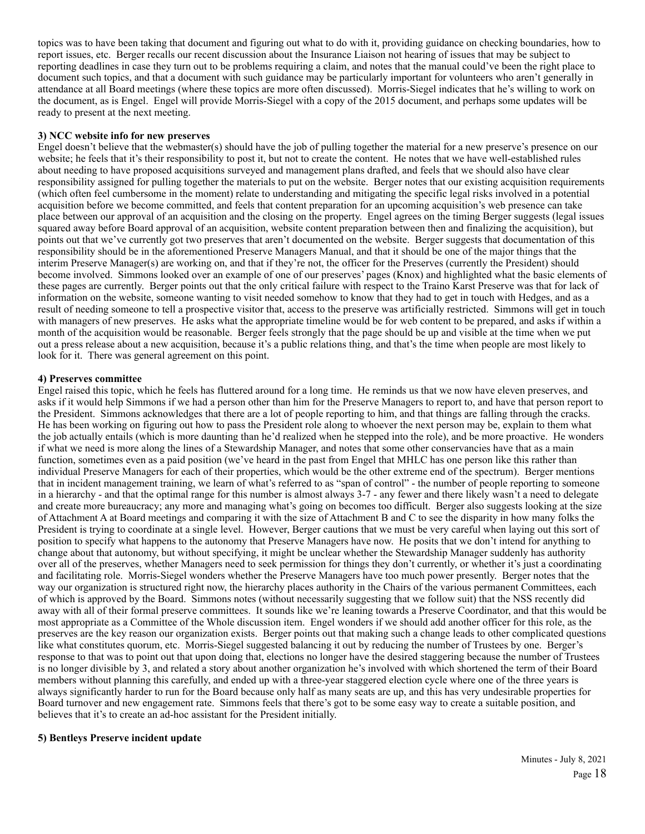topics was to have been taking that document and figuring out what to do with it, providing guidance on checking boundaries, how to report issues, etc. Berger recalls our recent discussion about the Insurance Liaison not hearing of issues that may be subject to reporting deadlines in case they turn out to be problems requiring a claim, and notes that the manual could've been the right place to document such topics, and that a document with such guidance may be particularly important for volunteers who aren't generally in attendance at all Board meetings (where these topics are more often discussed). Morris-Siegel indicates that he's willing to work on the document, as is Engel. Engel will provide Morris-Siegel with a copy of the 2015 document, and perhaps some updates will be ready to present at the next meeting.

#### **3) NCC website info for new preserves**

Engel doesn't believe that the webmaster(s) should have the job of pulling together the material for a new preserve's presence on our website; he feels that it's their responsibility to post it, but not to create the content. He notes that we have well-established rules about needing to have proposed acquisitions surveyed and management plans drafted, and feels that we should also have clear responsibility assigned for pulling together the materials to put on the website. Berger notes that our existing acquisition requirements (which often feel cumbersome in the moment) relate to understanding and mitigating the specific legal risks involved in a potential acquisition before we become committed, and feels that content preparation for an upcoming acquisition's web presence can take place between our approval of an acquisition and the closing on the property. Engel agrees on the timing Berger suggests (legal issues squared away before Board approval of an acquisition, website content preparation between then and finalizing the acquisition), but points out that we've currently got two preserves that aren't documented on the website. Berger suggests that documentation of this responsibility should be in the aforementioned Preserve Managers Manual, and that it should be one of the major things that the interim Preserve Manager(s) are working on, and that if they're not, the officer for the Preserves (currently the President) should become involved. Simmons looked over an example of one of our preserves' pages (Knox) and highlighted what the basic elements of these pages are currently. Berger points out that the only critical failure with respect to the Traino Karst Preserve was that for lack of information on the website, someone wanting to visit needed somehow to know that they had to get in touch with Hedges, and as a result of needing someone to tell a prospective visitor that, access to the preserve was artificially restricted. Simmons will get in touch with managers of new preserves. He asks what the appropriate timeline would be for web content to be prepared, and asks if within a month of the acquisition would be reasonable. Berger feels strongly that the page should be up and visible at the time when we put out a press release about a new acquisition, because it's a public relations thing, and that's the time when people are most likely to look for it. There was general agreement on this point.

#### **4) Preserves committee**

Engel raised this topic, which he feels has fluttered around for a long time. He reminds us that we now have eleven preserves, and asks if it would help Simmons if we had a person other than him for the Preserve Managers to report to, and have that person report to the President. Simmons acknowledges that there are a lot of people reporting to him, and that things are falling through the cracks. He has been working on figuring out how to pass the President role along to whoever the next person may be, explain to them what the job actually entails (which is more daunting than he'd realized when he stepped into the role), and be more proactive. He wonders if what we need is more along the lines of a Stewardship Manager, and notes that some other conservancies have that as a main function, sometimes even as a paid position (we've heard in the past from Engel that MHLC has one person like this rather than individual Preserve Managers for each of their properties, which would be the other extreme end of the spectrum). Berger mentions that in incident management training, we learn of what's referred to as "span of control" - the number of people reporting to someone in a hierarchy - and that the optimal range for this number is almost always 3-7 - any fewer and there likely wasn't a need to delegate and create more bureaucracy; any more and managing what's going on becomes too difficult. Berger also suggests looking at the size of Attachment A at Board meetings and comparing it with the size of Attachment B and C to see the disparity in how many folks the President is trying to coordinate at a single level. However, Berger cautions that we must be very careful when laying out this sort of position to specify what happens to the autonomy that Preserve Managers have now. He posits that we don't intend for anything to change about that autonomy, but without specifying, it might be unclear whether the Stewardship Manager suddenly has authority over all of the preserves, whether Managers need to seek permission for things they don't currently, or whether it's just a coordinating and facilitating role. Morris-Siegel wonders whether the Preserve Managers have too much power presently. Berger notes that the way our organization is structured right now, the hierarchy places authority in the Chairs of the various permanent Committees, each of which is approved by the Board. Simmons notes (without necessarily suggesting that we follow suit) that the NSS recently did away with all of their formal preserve committees. It sounds like we're leaning towards a Preserve Coordinator, and that this would be most appropriate as a Committee of the Whole discussion item. Engel wonders if we should add another officer for this role, as the preserves are the key reason our organization exists. Berger points out that making such a change leads to other complicated questions like what constitutes quorum, etc. Morris-Siegel suggested balancing it out by reducing the number of Trustees by one. Berger's response to that was to point out that upon doing that, elections no longer have the desired staggering because the number of Trustees is no longer divisible by 3, and related a story about another organization he's involved with which shortened the term of their Board members without planning this carefully, and ended up with a three-year staggered election cycle where one of the three years is always significantly harder to run for the Board because only half as many seats are up, and this has very undesirable properties for Board turnover and new engagement rate. Simmons feels that there's got to be some easy way to create a suitable position, and believes that it's to create an ad-hoc assistant for the President initially.

### **5) Bentleys Preserve incident update**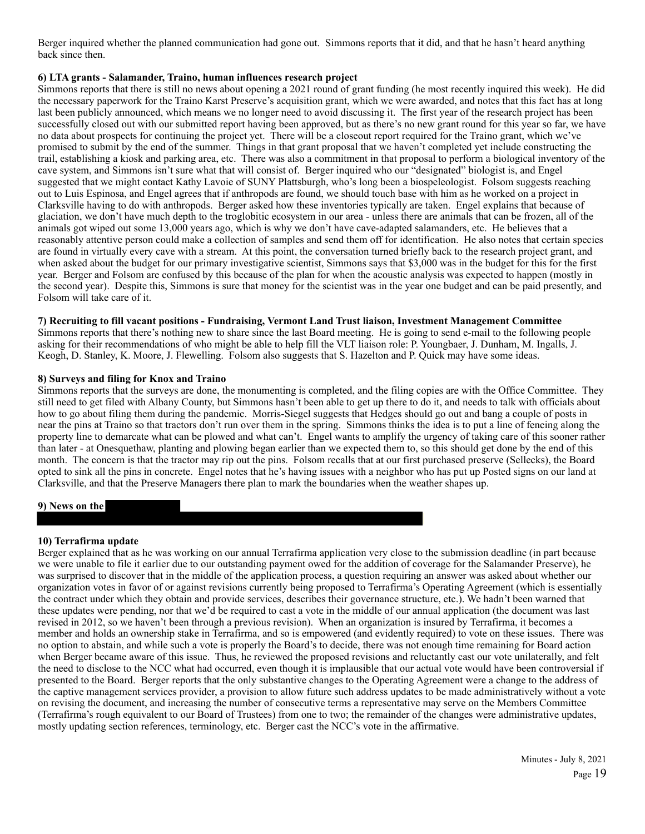Berger inquired whether the planned communication had gone out. Simmons reports that it did, and that he hasn't heard anything back since then.

#### **6) LTA grants - Salamander, Traino, human influences research project**

Simmons reports that there is still no news about opening a 2021 round of grant funding (he most recently inquired this week). He did the necessary paperwork for the Traino Karst Preserve's acquisition grant, which we were awarded, and notes that this fact has at long last been publicly announced, which means we no longer need to avoid discussing it. The first year of the research project has been successfully closed out with our submitted report having been approved, but as there's no new grant round for this year so far, we have no data about prospects for continuing the project yet. There will be a closeout report required for the Traino grant, which we've promised to submit by the end of the summer. Things in that grant proposal that we haven't completed yet include constructing the trail, establishing a kiosk and parking area, etc. There was also a commitment in that proposal to perform a biological inventory of the cave system, and Simmons isn't sure what that will consist of. Berger inquired who our "designated" biologist is, and Engel suggested that we might contact Kathy Lavoie of SUNY Plattsburgh, who's long been a biospeleologist. Folsom suggests reaching out to Luis Espinosa, and Engel agrees that if anthropods are found, we should touch base with him as he worked on a project in Clarksville having to do with anthropods. Berger asked how these inventories typically are taken. Engel explains that because of glaciation, we don't have much depth to the troglobitic ecosystem in our area - unless there are animals that can be frozen, all of the animals got wiped out some 13,000 years ago, which is why we don't have cave-adapted salamanders, etc. He believes that a reasonably attentive person could make a collection of samples and send them off for identification. He also notes that certain species are found in virtually every cave with a stream. At this point, the conversation turned briefly back to the research project grant, and when asked about the budget for our primary investigative scientist, Simmons says that \$3,000 was in the budget for this for the first year. Berger and Folsom are confused by this because of the plan for when the acoustic analysis was expected to happen (mostly in the second year). Despite this, Simmons is sure that money for the scientist was in the year one budget and can be paid presently, and Folsom will take care of it.

### **7) Recruiting to fill vacant positions - Fundraising, Vermont Land Trust liaison, Investment Management Committee**

Simmons reports that there's nothing new to share since the last Board meeting. He is going to send e-mail to the following people asking for their recommendations of who might be able to help fill the VLT liaison role: P. Youngbaer, J. Dunham, M. Ingalls, J. Keogh, D. Stanley, K. Moore, J. Flewelling. Folsom also suggests that S. Hazelton and P. Quick may have some ideas.

### **8) Surveys and filing for Knox and Traino**

Simmons reports that the surveys are done, the monumenting is completed, and the filing copies are with the Office Committee. They still need to get filed with Albany County, but Simmons hasn't been able to get up there to do it, and needs to talk with officials about how to go about filing them during the pandemic. Morris-Siegel suggests that Hedges should go out and bang a couple of posts in near the pins at Traino so that tractors don't run over them in the spring. Simmons thinks the idea is to put a line of fencing along the property line to demarcate what can be plowed and what can't. Engel wants to amplify the urgency of taking care of this sooner rather than later - at Onesquethaw, planting and plowing began earlier than we expected them to, so this should get done by the end of this month. The concern is that the tractor may rip out the pins. Folsom recalls that at our first purchased preserve (Sellecks), the Board opted to sink all the pins in concrete. Engel notes that he's having issues with a neighbor who has put up Posted signs on our land at Clarksville, and that the Preserve Managers there plan to mark the boundaries when the weather shapes up.

### **9) News on the**

### **10) Terrafirma update**

Berger explained that as he was working on our annual Terrafirma application very close to the submission deadline (in part because we were unable to file it earlier due to our outstanding payment owed for the addition of coverage for the Salamander Preserve), he was surprised to discover that in the middle of the application process, a question requiring an answer was asked about whether our organization votes in favor of or against revisions currently being proposed to Terrafirma's Operating Agreement (which is essentially the contract under which they obtain and provide services, describes their governance structure, etc.). We hadn't been warned that these updates were pending, nor that we'd be required to cast a vote in the middle of our annual application (the document was last revised in 2012, so we haven't been through a previous revision). When an organization is insured by Terrafirma, it becomes a member and holds an ownership stake in Terrafirma, and so is empowered (and evidently required) to vote on these issues. There was no option to abstain, and while such a vote is properly the Board's to decide, there was not enough time remaining for Board action when Berger became aware of this issue. Thus, he reviewed the proposed revisions and reluctantly cast our vote unilaterally, and felt the need to disclose to the NCC what had occurred, even though it is implausible that our actual vote would have been controversial if presented to the Board. Berger reports that the only substantive changes to the Operating Agreement were a change to the address of the captive management services provider, a provision to allow future such address updates to be made administratively without a vote on revising the document, and increasing the number of consecutive terms a representative may serve on the Members Committee (Terrafirma's rough equivalent to our Board of Trustees) from one to two; the remainder of the changes were administrative updates, mostly updating section references, terminology, etc. Berger cast the NCC's vote in the affirmative.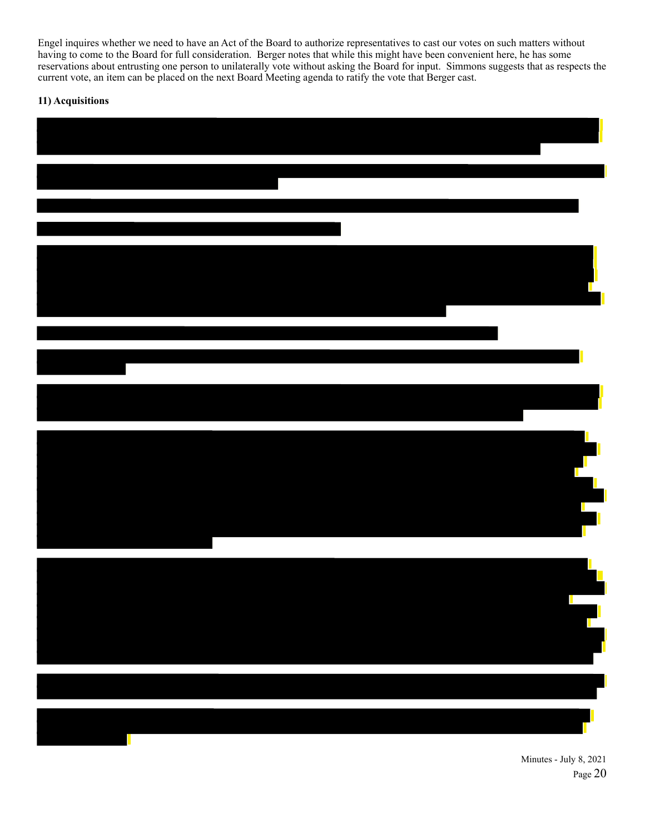Engel inquires whether we need to have an Act of the Board to authorize representatives to cast our votes on such matters without having to come to the Board for full consideration. Berger notes that while this might have been convenient here, he has some reservations about entrusting one person to unilaterally vote without asking the Board for input. Simmons suggests that as respects the current vote, an item can be placed on the next Board Meeting agenda to ratify the vote that Berger cast.

# **11) Acquisitions**



Minutes - July 8, 2021 Page 20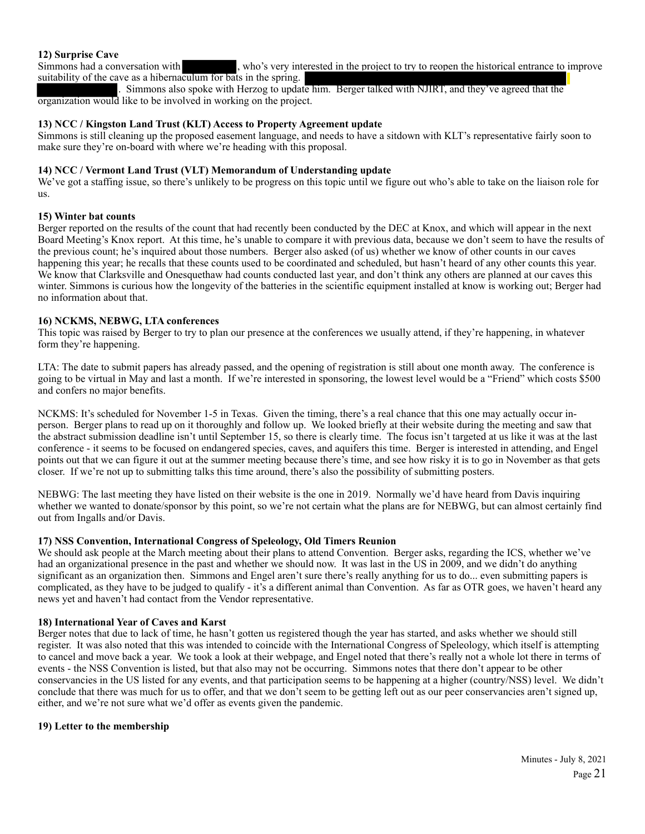### **12) Surprise Cave**

Simmons had a conversation with , who's very interested in the project to try to reopen the historical entrance to improve suitability of the cave as a hibernaculum for bats in the spring.

. Simmons also spoke with Herzog to update him. Berger talked with NJIRT, and they've agreed that the organization would like to be involved in working on the project.

#### **13) NCC / Kingston Land Trust (KLT) Access to Property Agreement update**

Simmons is still cleaning up the proposed easement language, and needs to have a sitdown with KLT's representative fairly soon to make sure they're on-board with where we're heading with this proposal.

### **14) NCC / Vermont Land Trust (VLT) Memorandum of Understanding update**

We've got a staffing issue, so there's unlikely to be progress on this topic until we figure out who's able to take on the liaison role for us.

#### **15) Winter bat counts**

Berger reported on the results of the count that had recently been conducted by the DEC at Knox, and which will appear in the next Board Meeting's Knox report. At this time, he's unable to compare it with previous data, because we don't seem to have the results of the previous count; he's inquired about those numbers. Berger also asked (of us) whether we know of other counts in our caves happening this year; he recalls that these counts used to be coordinated and scheduled, but hasn't heard of any other counts this year. We know that Clarksville and Onesquethaw had counts conducted last year, and don't think any others are planned at our caves this winter. Simmons is curious how the longevity of the batteries in the scientific equipment installed at know is working out; Berger had no information about that.

### **16) NCKMS, NEBWG, LTA conferences**

This topic was raised by Berger to try to plan our presence at the conferences we usually attend, if they're happening, in whatever form they're happening.

LTA: The date to submit papers has already passed, and the opening of registration is still about one month away. The conference is going to be virtual in May and last a month. If we're interested in sponsoring, the lowest level would be a "Friend" which costs \$500 and confers no major benefits.

NCKMS: It's scheduled for November 1-5 in Texas. Given the timing, there's a real chance that this one may actually occur inperson. Berger plans to read up on it thoroughly and follow up. We looked briefly at their website during the meeting and saw that the abstract submission deadline isn't until September 15, so there is clearly time. The focus isn't targeted at us like it was at the last conference - it seems to be focused on endangered species, caves, and aquifers this time. Berger is interested in attending, and Engel points out that we can figure it out at the summer meeting because there's time, and see how risky it is to go in November as that gets closer. If we're not up to submitting talks this time around, there's also the possibility of submitting posters.

NEBWG: The last meeting they have listed on their website is the one in 2019. Normally we'd have heard from Davis inquiring whether we wanted to donate/sponsor by this point, so we're not certain what the plans are for NEBWG, but can almost certainly find out from Ingalls and/or Davis.

### **17) NSS Convention, International Congress of Speleology, Old Timers Reunion**

We should ask people at the March meeting about their plans to attend Convention. Berger asks, regarding the ICS, whether we've had an organizational presence in the past and whether we should now. It was last in the US in 2009, and we didn't do anything significant as an organization then. Simmons and Engel aren't sure there's really anything for us to do... even submitting papers is complicated, as they have to be judged to qualify - it's a different animal than Convention. As far as OTR goes, we haven't heard any news yet and haven't had contact from the Vendor representative.

### **18) International Year of Caves and Karst**

Berger notes that due to lack of time, he hasn't gotten us registered though the year has started, and asks whether we should still register. It was also noted that this was intended to coincide with the International Congress of Speleology, which itself is attempting to cancel and move back a year. We took a look at their webpage, and Engel noted that there's really not a whole lot there in terms of events - the NSS Convention is listed, but that also may not be occurring. Simmons notes that there don't appear to be other conservancies in the US listed for any events, and that participation seems to be happening at a higher (country/NSS) level. We didn't conclude that there was much for us to offer, and that we don't seem to be getting left out as our peer conservancies aren't signed up, either, and we're not sure what we'd offer as events given the pandemic.

#### **19) Letter to the membership**